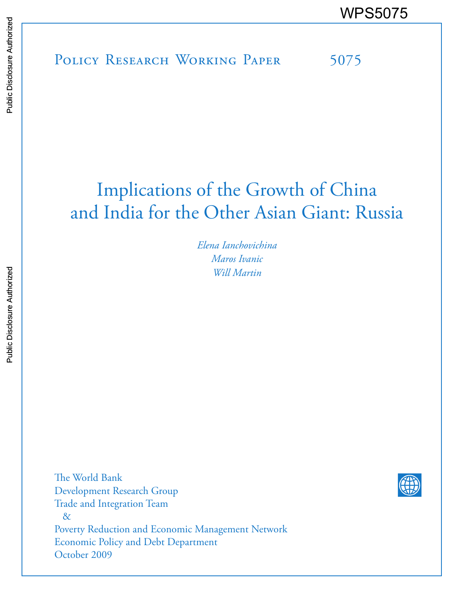POLICY RESEARCH WORKING PAPER 5075 WPS5075<br>
Media<br>
Media<br>
Policy Research Working Paper 5075<br>
Policy Research Working Paper 5075

## Implications of the Growth of China and India for the Other Asian Giant: Russia

*Elena Ianchovichina Maros Ivanic Will Martin*

The World Bank Development Research Group Trade and Integration Team & Poverty Reduction and Economic Management Network Economic Policy and Debt Department October 2009

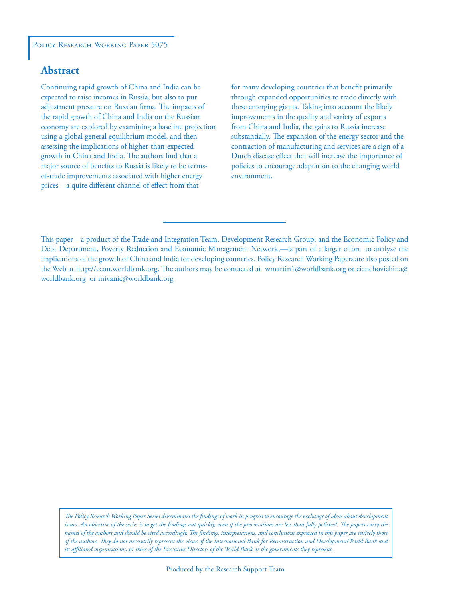#### POLICY RESEARCH WORKING PAPER 5075

## **Abstract**

Continuing rapid growth of China and India can be expected to raise incomes in Russia, but also to put adjustment pressure on Russian firms. The impacts of the rapid growth of China and India on the Russian economy are explored by examining a baseline projection using a global general equilibrium model, and then assessing the implications of higher-than-expected growth in China and India. The authors find that a major source of benefits to Russia is likely to be termsof-trade improvements associated with higher energy prices—a quite different channel of effect from that

for many developing countries that benefit primarily through expanded opportunities to trade directly with these emerging giants. Taking into account the likely improvements in the quality and variety of exports from China and India, the gains to Russia increase substantially. The expansion of the energy sector and the contraction of manufacturing and services are a sign of a Dutch disease effect that will increase the importance of policies to encourage adaptation to the changing world environment.

This paper—a product of the Trade and Integration Team, Development Research Group; and the Economic Policy and Debt Department, Poverty Reduction and Economic Management Network,—is part of a larger effort to analyze the implications of the growth of China and India for developing countries. Policy Research Working Papers are also posted on the Web at http://econ.worldbank.org. The authors may be contacted at wmartin1@worldbank.org or eianchovichina@ worldbank.org or mivanic@worldbank.org

*The Policy Research Working Paper Series disseminates the findings of work in progress to encourage the exchange of ideas about development*  issues. An objective of the series is to get the findings out quickly, even if the presentations are less than fully polished. The papers carry the *names of the authors and should be cited accordingly. The findings, interpretations, and conclusions expressed in this paper are entirely those of the authors. They do not necessarily represent the views of the International Bank for Reconstruction and Development/World Bank and its affiliated organizations, or those of the Executive Directors of the World Bank or the governments they represent.*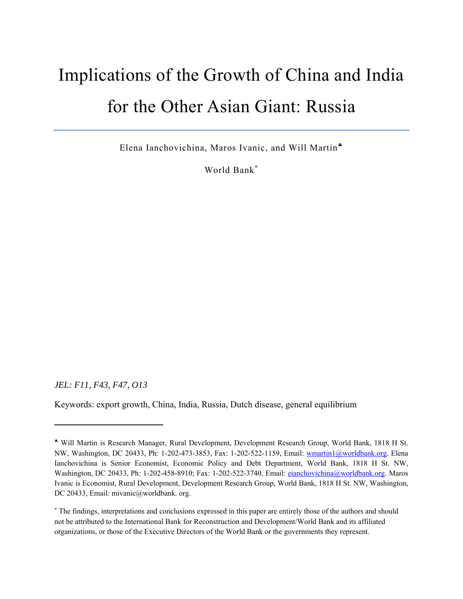## Implications of the Growth of China and India for the Other Asian Giant: Russia

Elena Ianchovichina, Maros Ivanic, and Will Martin

World Bank

*JEL: F11, F43, F47, O13* 

Keywords: export growth, China, India, Russia, Dutch disease, general equilibrium

Will Martin is Research Manager, Rural Development, Development Research Group, World Bank, 1818 H St. NW, Washington, DC 20433, Ph: 1-202-473-3853, Fax: 1-202-522-1159, Email: wmartin1@worldbank.org. Elena Ianchovichina is Senior Economist, Economic Policy and Debt Department, World Bank, 1818 H St. NW, Washington, DC 20433, Ph: 1-202-458-8910; Fax: 1-202-522-3740, Email: eianchovichina@worldbank.org. Maros Ivanic is Economist, Rural Development, Development Research Group, World Bank, 1818 H St. NW, Washington, DC 20433, Email: mivanic@worldbank. org.

 The findings, interpretations and conclusions expressed in this paper are entirely those of the authors and should not be attributed to the International Bank for Reconstruction and Development/World Bank and its affiliated organizations, or those of the Executive Directors of the World Bank or the governments they represent.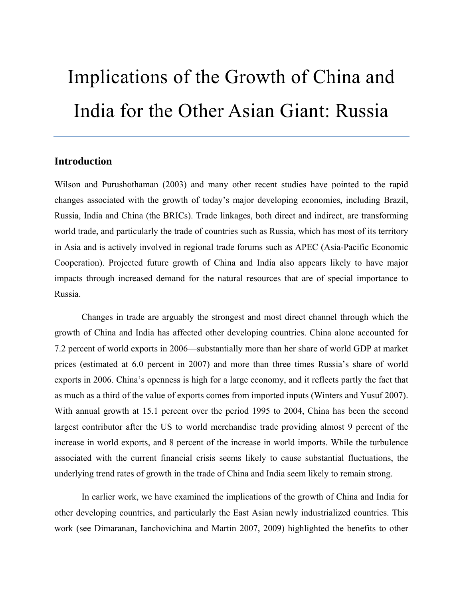# Implications of the Growth of China and India for the Other Asian Giant: Russia

## **Introduction**

Wilson and Purushothaman (2003) and many other recent studies have pointed to the rapid changes associated with the growth of today's major developing economies, including Brazil, Russia, India and China (the BRICs). Trade linkages, both direct and indirect, are transforming world trade, and particularly the trade of countries such as Russia, which has most of its territory in Asia and is actively involved in regional trade forums such as APEC (Asia-Pacific Economic Cooperation). Projected future growth of China and India also appears likely to have major impacts through increased demand for the natural resources that are of special importance to Russia.

Changes in trade are arguably the strongest and most direct channel through which the growth of China and India has affected other developing countries. China alone accounted for 7.2 percent of world exports in 2006—substantially more than her share of world GDP at market prices (estimated at 6.0 percent in 2007) and more than three times Russia's share of world exports in 2006. China's openness is high for a large economy, and it reflects partly the fact that as much as a third of the value of exports comes from imported inputs (Winters and Yusuf 2007). With annual growth at 15.1 percent over the period 1995 to 2004, China has been the second largest contributor after the US to world merchandise trade providing almost 9 percent of the increase in world exports, and 8 percent of the increase in world imports. While the turbulence associated with the current financial crisis seems likely to cause substantial fluctuations, the underlying trend rates of growth in the trade of China and India seem likely to remain strong.

In earlier work, we have examined the implications of the growth of China and India for other developing countries, and particularly the East Asian newly industrialized countries. This work (see Dimaranan, Ianchovichina and Martin 2007, 2009) highlighted the benefits to other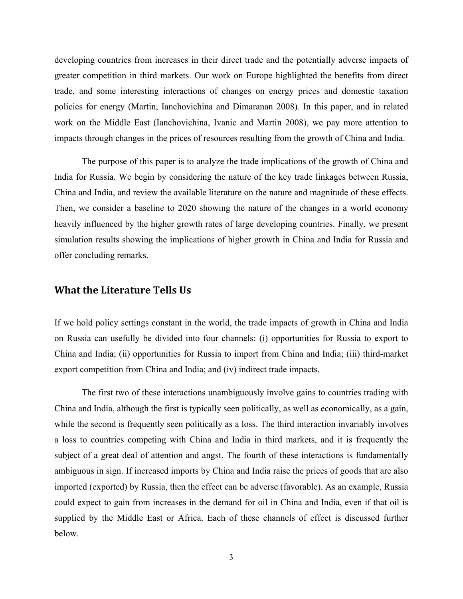developing countries from increases in their direct trade and the potentially adverse impacts of greater competition in third markets. Our work on Europe highlighted the benefits from direct trade, and some interesting interactions of changes on energy prices and domestic taxation policies for energy (Martin, Ianchovichina and Dimaranan 2008). In this paper, and in related work on the Middle East (Ianchovichina, Ivanic and Martin 2008), we pay more attention to impacts through changes in the prices of resources resulting from the growth of China and India.

The purpose of this paper is to analyze the trade implications of the growth of China and India for Russia. We begin by considering the nature of the key trade linkages between Russia, China and India, and review the available literature on the nature and magnitude of these effects. Then, we consider a baseline to 2020 showing the nature of the changes in a world economy heavily influenced by the higher growth rates of large developing countries. Finally, we present simulation results showing the implications of higher growth in China and India for Russia and offer concluding remarks.

### **What the Literature Tells Us**

If we hold policy settings constant in the world, the trade impacts of growth in China and India on Russia can usefully be divided into four channels: (i) opportunities for Russia to export to China and India; (ii) opportunities for Russia to import from China and India; (iii) third-market export competition from China and India; and (iv) indirect trade impacts.

The first two of these interactions unambiguously involve gains to countries trading with China and India, although the first is typically seen politically, as well as economically, as a gain, while the second is frequently seen politically as a loss. The third interaction invariably involves a loss to countries competing with China and India in third markets, and it is frequently the subject of a great deal of attention and angst. The fourth of these interactions is fundamentally ambiguous in sign. If increased imports by China and India raise the prices of goods that are also imported (exported) by Russia, then the effect can be adverse (favorable). As an example, Russia could expect to gain from increases in the demand for oil in China and India, even if that oil is supplied by the Middle East or Africa. Each of these channels of effect is discussed further below.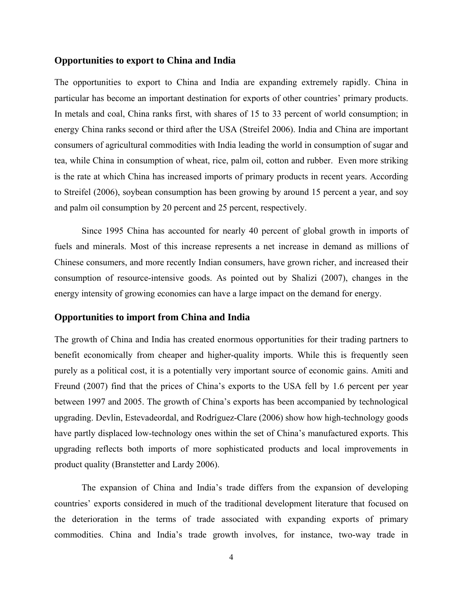#### **Opportunities to export to China and India**

The opportunities to export to China and India are expanding extremely rapidly. China in particular has become an important destination for exports of other countries' primary products. In metals and coal, China ranks first, with shares of 15 to 33 percent of world consumption; in energy China ranks second or third after the USA (Streifel 2006). India and China are important consumers of agricultural commodities with India leading the world in consumption of sugar and tea, while China in consumption of wheat, rice, palm oil, cotton and rubber. Even more striking is the rate at which China has increased imports of primary products in recent years. According to Streifel (2006), soybean consumption has been growing by around 15 percent a year, and soy and palm oil consumption by 20 percent and 25 percent, respectively.

Since 1995 China has accounted for nearly 40 percent of global growth in imports of fuels and minerals. Most of this increase represents a net increase in demand as millions of Chinese consumers, and more recently Indian consumers, have grown richer, and increased their consumption of resource-intensive goods. As pointed out by Shalizi (2007), changes in the energy intensity of growing economies can have a large impact on the demand for energy.

#### **Opportunities to import from China and India**

The growth of China and India has created enormous opportunities for their trading partners to benefit economically from cheaper and higher-quality imports. While this is frequently seen purely as a political cost, it is a potentially very important source of economic gains. Amiti and Freund (2007) find that the prices of China's exports to the USA fell by 1.6 percent per year between 1997 and 2005. The growth of China's exports has been accompanied by technological upgrading. Devlin, Estevadeordal, and Rodríguez-Clare (2006) show how high-technology goods have partly displaced low-technology ones within the set of China's manufactured exports. This upgrading reflects both imports of more sophisticated products and local improvements in product quality (Branstetter and Lardy 2006).

The expansion of China and India's trade differs from the expansion of developing countries' exports considered in much of the traditional development literature that focused on the deterioration in the terms of trade associated with expanding exports of primary commodities. China and India's trade growth involves, for instance, two-way trade in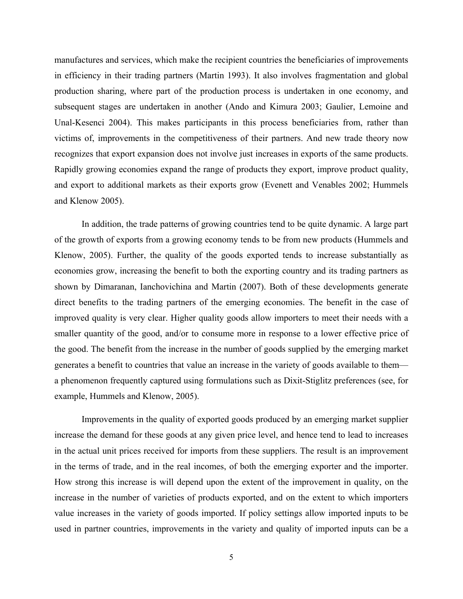manufactures and services, which make the recipient countries the beneficiaries of improvements in efficiency in their trading partners (Martin 1993). It also involves fragmentation and global production sharing, where part of the production process is undertaken in one economy, and subsequent stages are undertaken in another (Ando and Kimura 2003; Gaulier, Lemoine and Unal-Kesenci 2004). This makes participants in this process beneficiaries from, rather than victims of, improvements in the competitiveness of their partners. And new trade theory now recognizes that export expansion does not involve just increases in exports of the same products. Rapidly growing economies expand the range of products they export, improve product quality, and export to additional markets as their exports grow (Evenett and Venables 2002; Hummels and Klenow 2005).

In addition, the trade patterns of growing countries tend to be quite dynamic. A large part of the growth of exports from a growing economy tends to be from new products (Hummels and Klenow, 2005). Further, the quality of the goods exported tends to increase substantially as economies grow, increasing the benefit to both the exporting country and its trading partners as shown by Dimaranan, Ianchovichina and Martin (2007). Both of these developments generate direct benefits to the trading partners of the emerging economies. The benefit in the case of improved quality is very clear. Higher quality goods allow importers to meet their needs with a smaller quantity of the good, and/or to consume more in response to a lower effective price of the good. The benefit from the increase in the number of goods supplied by the emerging market generates a benefit to countries that value an increase in the variety of goods available to them a phenomenon frequently captured using formulations such as Dixit-Stiglitz preferences (see, for example, Hummels and Klenow, 2005).

Improvements in the quality of exported goods produced by an emerging market supplier increase the demand for these goods at any given price level, and hence tend to lead to increases in the actual unit prices received for imports from these suppliers. The result is an improvement in the terms of trade, and in the real incomes, of both the emerging exporter and the importer. How strong this increase is will depend upon the extent of the improvement in quality, on the increase in the number of varieties of products exported, and on the extent to which importers value increases in the variety of goods imported. If policy settings allow imported inputs to be used in partner countries, improvements in the variety and quality of imported inputs can be a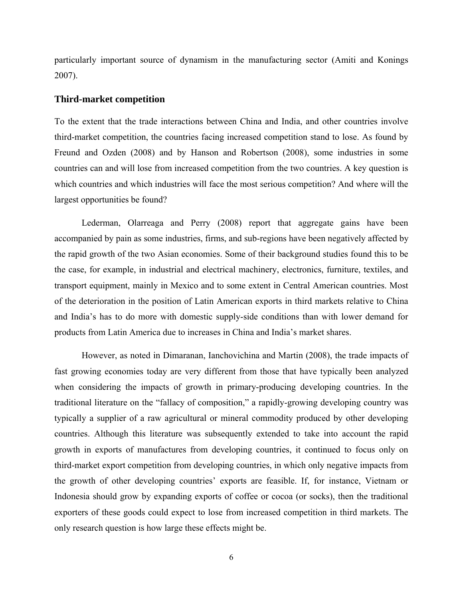particularly important source of dynamism in the manufacturing sector (Amiti and Konings 2007).

#### **Third-market competition**

To the extent that the trade interactions between China and India, and other countries involve third-market competition, the countries facing increased competition stand to lose. As found by Freund and Ozden (2008) and by Hanson and Robertson (2008), some industries in some countries can and will lose from increased competition from the two countries. A key question is which countries and which industries will face the most serious competition? And where will the largest opportunities be found?

Lederman, Olarreaga and Perry (2008) report that aggregate gains have been accompanied by pain as some industries, firms, and sub-regions have been negatively affected by the rapid growth of the two Asian economies. Some of their background studies found this to be the case, for example, in industrial and electrical machinery, electronics, furniture, textiles, and transport equipment, mainly in Mexico and to some extent in Central American countries. Most of the deterioration in the position of Latin American exports in third markets relative to China and India's has to do more with domestic supply-side conditions than with lower demand for products from Latin America due to increases in China and India's market shares.

However, as noted in Dimaranan, Ianchovichina and Martin (2008), the trade impacts of fast growing economies today are very different from those that have typically been analyzed when considering the impacts of growth in primary-producing developing countries. In the traditional literature on the "fallacy of composition," a rapidly-growing developing country was typically a supplier of a raw agricultural or mineral commodity produced by other developing countries. Although this literature was subsequently extended to take into account the rapid growth in exports of manufactures from developing countries, it continued to focus only on third-market export competition from developing countries, in which only negative impacts from the growth of other developing countries' exports are feasible. If, for instance, Vietnam or Indonesia should grow by expanding exports of coffee or cocoa (or socks), then the traditional exporters of these goods could expect to lose from increased competition in third markets. The only research question is how large these effects might be.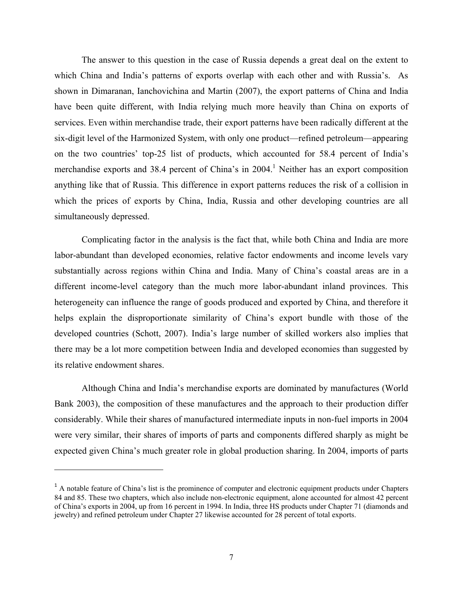The answer to this question in the case of Russia depends a great deal on the extent to which China and India's patterns of exports overlap with each other and with Russia's. As shown in Dimaranan, Ianchovichina and Martin (2007), the export patterns of China and India have been quite different, with India relying much more heavily than China on exports of services. Even within merchandise trade, their export patterns have been radically different at the six-digit level of the Harmonized System, with only one product—refined petroleum—appearing on the two countries' top-25 list of products, which accounted for 58.4 percent of India's merchandise exports and 38.4 percent of China's in  $2004$ .<sup>1</sup> Neither has an export composition anything like that of Russia. This difference in export patterns reduces the risk of a collision in which the prices of exports by China, India, Russia and other developing countries are all simultaneously depressed.

Complicating factor in the analysis is the fact that, while both China and India are more labor-abundant than developed economies, relative factor endowments and income levels vary substantially across regions within China and India. Many of China's coastal areas are in a different income-level category than the much more labor-abundant inland provinces. This heterogeneity can influence the range of goods produced and exported by China, and therefore it helps explain the disproportionate similarity of China's export bundle with those of the developed countries (Schott, 2007). India's large number of skilled workers also implies that there may be a lot more competition between India and developed economies than suggested by its relative endowment shares.

Although China and India's merchandise exports are dominated by manufactures (World Bank 2003), the composition of these manufactures and the approach to their production differ considerably. While their shares of manufactured intermediate inputs in non-fuel imports in 2004 were very similar, their shares of imports of parts and components differed sharply as might be expected given China's much greater role in global production sharing. In 2004, imports of parts

 $<sup>1</sup>$  A notable feature of China's list is the prominence of computer and electronic equipment products under Chapters</sup> 84 and 85. These two chapters, which also include non-electronic equipment, alone accounted for almost 42 percent of China's exports in 2004, up from 16 percent in 1994. In India, three HS products under Chapter 71 (diamonds and jewelry) and refined petroleum under Chapter 27 likewise accounted for 28 percent of total exports.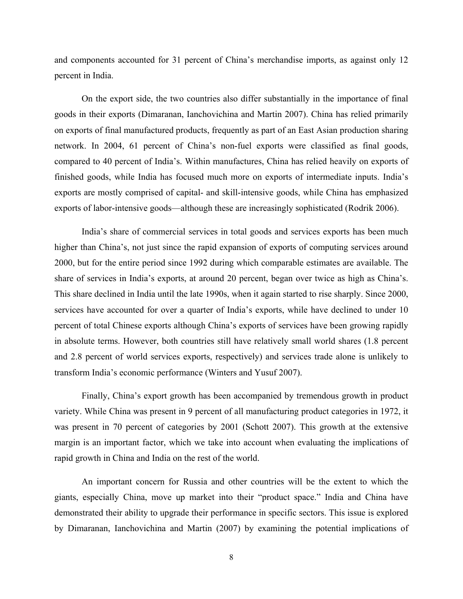and components accounted for 31 percent of China's merchandise imports, as against only 12 percent in India.

On the export side, the two countries also differ substantially in the importance of final goods in their exports (Dimaranan, Ianchovichina and Martin 2007). China has relied primarily on exports of final manufactured products, frequently as part of an East Asian production sharing network. In 2004, 61 percent of China's non-fuel exports were classified as final goods, compared to 40 percent of India's. Within manufactures, China has relied heavily on exports of finished goods, while India has focused much more on exports of intermediate inputs. India's exports are mostly comprised of capital- and skill-intensive goods, while China has emphasized exports of labor-intensive goods—although these are increasingly sophisticated (Rodrik 2006).

India's share of commercial services in total goods and services exports has been much higher than China's, not just since the rapid expansion of exports of computing services around 2000, but for the entire period since 1992 during which comparable estimates are available. The share of services in India's exports, at around 20 percent, began over twice as high as China's. This share declined in India until the late 1990s, when it again started to rise sharply. Since 2000, services have accounted for over a quarter of India's exports, while have declined to under 10 percent of total Chinese exports although China's exports of services have been growing rapidly in absolute terms. However, both countries still have relatively small world shares (1.8 percent and 2.8 percent of world services exports, respectively) and services trade alone is unlikely to transform India's economic performance (Winters and Yusuf 2007).

Finally, China's export growth has been accompanied by tremendous growth in product variety. While China was present in 9 percent of all manufacturing product categories in 1972, it was present in 70 percent of categories by 2001 (Schott 2007). This growth at the extensive margin is an important factor, which we take into account when evaluating the implications of rapid growth in China and India on the rest of the world.

An important concern for Russia and other countries will be the extent to which the giants, especially China, move up market into their "product space." India and China have demonstrated their ability to upgrade their performance in specific sectors. This issue is explored by Dimaranan, Ianchovichina and Martin (2007) by examining the potential implications of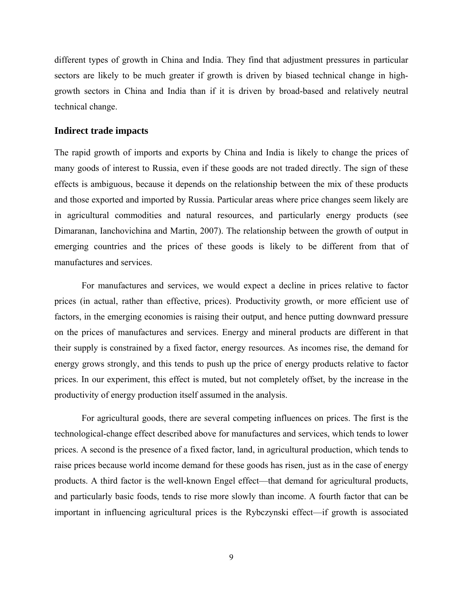different types of growth in China and India. They find that adjustment pressures in particular sectors are likely to be much greater if growth is driven by biased technical change in highgrowth sectors in China and India than if it is driven by broad-based and relatively neutral technical change.

#### **Indirect trade impacts**

The rapid growth of imports and exports by China and India is likely to change the prices of many goods of interest to Russia, even if these goods are not traded directly. The sign of these effects is ambiguous, because it depends on the relationship between the mix of these products and those exported and imported by Russia. Particular areas where price changes seem likely are in agricultural commodities and natural resources, and particularly energy products (see Dimaranan, Ianchovichina and Martin, 2007). The relationship between the growth of output in emerging countries and the prices of these goods is likely to be different from that of manufactures and services.

For manufactures and services, we would expect a decline in prices relative to factor prices (in actual, rather than effective, prices). Productivity growth, or more efficient use of factors, in the emerging economies is raising their output, and hence putting downward pressure on the prices of manufactures and services. Energy and mineral products are different in that their supply is constrained by a fixed factor, energy resources. As incomes rise, the demand for energy grows strongly, and this tends to push up the price of energy products relative to factor prices. In our experiment, this effect is muted, but not completely offset, by the increase in the productivity of energy production itself assumed in the analysis.

For agricultural goods, there are several competing influences on prices. The first is the technological-change effect described above for manufactures and services, which tends to lower prices. A second is the presence of a fixed factor, land, in agricultural production, which tends to raise prices because world income demand for these goods has risen, just as in the case of energy products. A third factor is the well-known Engel effect—that demand for agricultural products, and particularly basic foods, tends to rise more slowly than income. A fourth factor that can be important in influencing agricultural prices is the Rybczynski effect—if growth is associated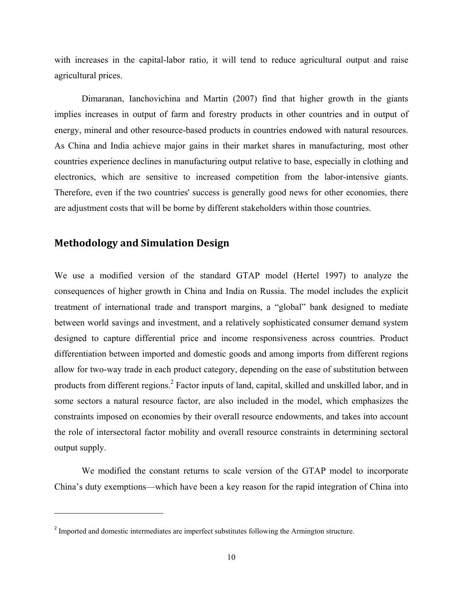with increases in the capital-labor ratio, it will tend to reduce agricultural output and raise agricultural prices.

Dimaranan, Ianchovichina and Martin (2007) find that higher growth in the giants implies increases in output of farm and forestry products in other countries and in output of energy, mineral and other resource-based products in countries endowed with natural resources. As China and India achieve major gains in their market shares in manufacturing, most other countries experience declines in manufacturing output relative to base, especially in clothing and electronics, which are sensitive to increased competition from the labor-intensive giants. Therefore, even if the two countries' success is generally good news for other economies, there are adjustment costs that will be borne by different stakeholders within those countries.

## **Methodology and Simulation Design**

We use a modified version of the standard GTAP model (Hertel 1997) to analyze the consequences of higher growth in China and India on Russia. The model includes the explicit treatment of international trade and transport margins, a "global" bank designed to mediate between world savings and investment, and a relatively sophisticated consumer demand system designed to capture differential price and income responsiveness across countries. Product differentiation between imported and domestic goods and among imports from different regions allow for two-way trade in each product category, depending on the ease of substitution between products from different regions.<sup>2</sup> Factor inputs of land, capital, skilled and unskilled labor, and in some sectors a natural resource factor, are also included in the model, which emphasizes the constraints imposed on economies by their overall resource endowments, and takes into account the role of intersectoral factor mobility and overall resource constraints in determining sectoral output supply.

We modified the constant returns to scale version of the GTAP model to incorporate China's duty exemptions—which have been a key reason for the rapid integration of China into

<sup>&</sup>lt;sup>2</sup> Imported and domestic intermediates are imperfect substitutes following the Armington structure.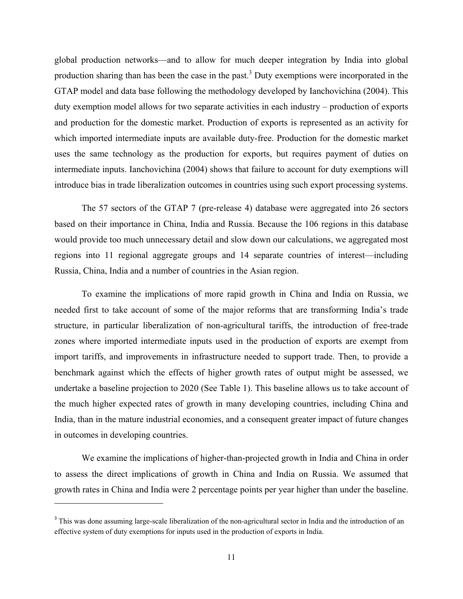global production networks—and to allow for much deeper integration by India into global production sharing than has been the case in the past.<sup>3</sup> Duty exemptions were incorporated in the GTAP model and data base following the methodology developed by Ianchovichina (2004). This duty exemption model allows for two separate activities in each industry – production of exports and production for the domestic market. Production of exports is represented as an activity for which imported intermediate inputs are available duty-free. Production for the domestic market uses the same technology as the production for exports, but requires payment of duties on intermediate inputs. Ianchovichina (2004) shows that failure to account for duty exemptions will introduce bias in trade liberalization outcomes in countries using such export processing systems.

The 57 sectors of the GTAP 7 (pre-release 4) database were aggregated into 26 sectors based on their importance in China, India and Russia. Because the 106 regions in this database would provide too much unnecessary detail and slow down our calculations, we aggregated most regions into 11 regional aggregate groups and 14 separate countries of interest—including Russia, China, India and a number of countries in the Asian region.

To examine the implications of more rapid growth in China and India on Russia, we needed first to take account of some of the major reforms that are transforming India's trade structure, in particular liberalization of non-agricultural tariffs, the introduction of free-trade zones where imported intermediate inputs used in the production of exports are exempt from import tariffs, and improvements in infrastructure needed to support trade. Then, to provide a benchmark against which the effects of higher growth rates of output might be assessed, we undertake a baseline projection to 2020 (See Table 1). This baseline allows us to take account of the much higher expected rates of growth in many developing countries, including China and India, than in the mature industrial economies, and a consequent greater impact of future changes in outcomes in developing countries.

We examine the implications of higher-than-projected growth in India and China in order to assess the direct implications of growth in China and India on Russia. We assumed that growth rates in China and India were 2 percentage points per year higher than under the baseline.

<sup>&</sup>lt;sup>3</sup> This was done assuming large-scale liberalization of the non-agricultural sector in India and the introduction of an effective system of duty exemptions for inputs used in the production of exports in India.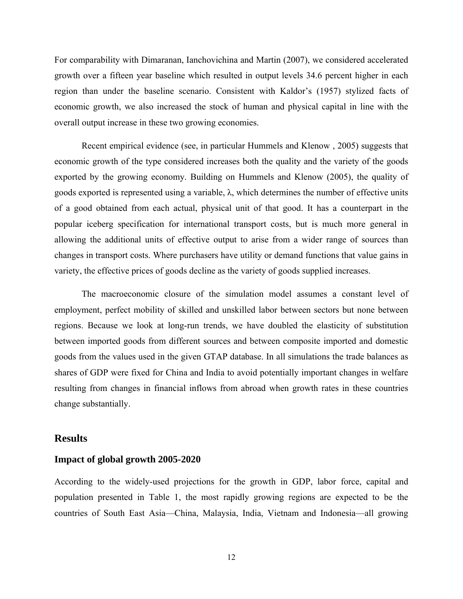For comparability with Dimaranan, Ianchovichina and Martin (2007), we considered accelerated growth over a fifteen year baseline which resulted in output levels 34.6 percent higher in each region than under the baseline scenario. Consistent with Kaldor's (1957) stylized facts of economic growth, we also increased the stock of human and physical capital in line with the overall output increase in these two growing economies.

Recent empirical evidence (see, in particular Hummels and Klenow , 2005) suggests that economic growth of the type considered increases both the quality and the variety of the goods exported by the growing economy. Building on Hummels and Klenow (2005), the quality of goods exported is represented using a variable,  $\lambda$ , which determines the number of effective units of a good obtained from each actual, physical unit of that good. It has a counterpart in the popular iceberg specification for international transport costs, but is much more general in allowing the additional units of effective output to arise from a wider range of sources than changes in transport costs. Where purchasers have utility or demand functions that value gains in variety, the effective prices of goods decline as the variety of goods supplied increases.

The macroeconomic closure of the simulation model assumes a constant level of employment, perfect mobility of skilled and unskilled labor between sectors but none between regions. Because we look at long-run trends, we have doubled the elasticity of substitution between imported goods from different sources and between composite imported and domestic goods from the values used in the given GTAP database. In all simulations the trade balances as shares of GDP were fixed for China and India to avoid potentially important changes in welfare resulting from changes in financial inflows from abroad when growth rates in these countries change substantially.

#### **Results**

#### **Impact of global growth 2005-2020**

According to the widely-used projections for the growth in GDP, labor force, capital and population presented in Table 1, the most rapidly growing regions are expected to be the countries of South East Asia—China, Malaysia, India, Vietnam and Indonesia—all growing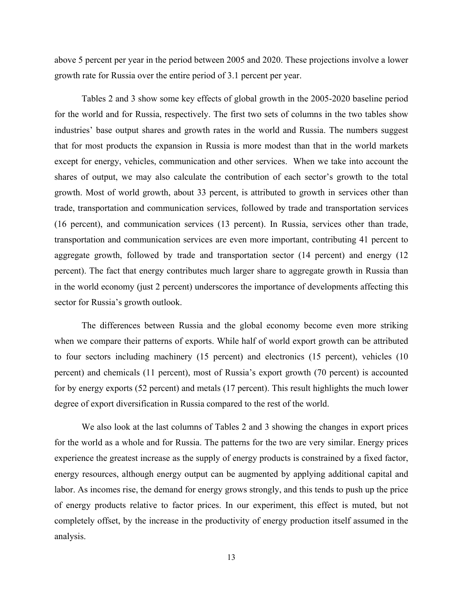above 5 percent per year in the period between 2005 and 2020. These projections involve a lower growth rate for Russia over the entire period of 3.1 percent per year.

Tables 2 and 3 show some key effects of global growth in the 2005-2020 baseline period for the world and for Russia, respectively. The first two sets of columns in the two tables show industries' base output shares and growth rates in the world and Russia. The numbers suggest that for most products the expansion in Russia is more modest than that in the world markets except for energy, vehicles, communication and other services. When we take into account the shares of output, we may also calculate the contribution of each sector's growth to the total growth. Most of world growth, about 33 percent, is attributed to growth in services other than trade, transportation and communication services, followed by trade and transportation services (16 percent), and communication services (13 percent). In Russia, services other than trade, transportation and communication services are even more important, contributing 41 percent to aggregate growth, followed by trade and transportation sector (14 percent) and energy (12 percent). The fact that energy contributes much larger share to aggregate growth in Russia than in the world economy (just 2 percent) underscores the importance of developments affecting this sector for Russia's growth outlook.

The differences between Russia and the global economy become even more striking when we compare their patterns of exports. While half of world export growth can be attributed to four sectors including machinery (15 percent) and electronics (15 percent), vehicles (10 percent) and chemicals (11 percent), most of Russia's export growth (70 percent) is accounted for by energy exports (52 percent) and metals (17 percent). This result highlights the much lower degree of export diversification in Russia compared to the rest of the world.

We also look at the last columns of Tables 2 and 3 showing the changes in export prices for the world as a whole and for Russia. The patterns for the two are very similar. Energy prices experience the greatest increase as the supply of energy products is constrained by a fixed factor, energy resources, although energy output can be augmented by applying additional capital and labor. As incomes rise, the demand for energy grows strongly, and this tends to push up the price of energy products relative to factor prices. In our experiment, this effect is muted, but not completely offset, by the increase in the productivity of energy production itself assumed in the analysis.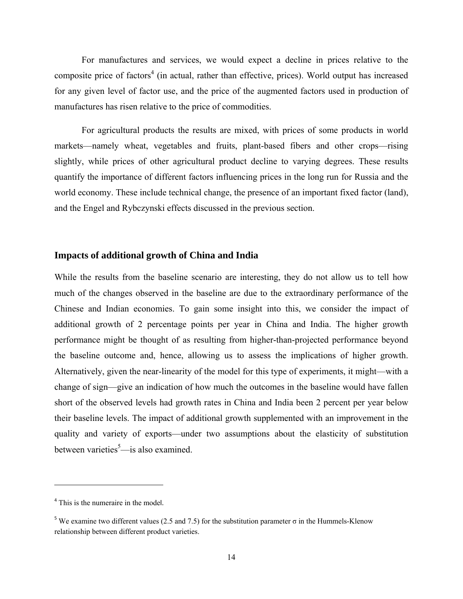For manufactures and services, we would expect a decline in prices relative to the composite price of factors<sup>4</sup> (in actual, rather than effective, prices). World output has increased for any given level of factor use, and the price of the augmented factors used in production of manufactures has risen relative to the price of commodities.

For agricultural products the results are mixed, with prices of some products in world markets—namely wheat, vegetables and fruits, plant-based fibers and other crops—rising slightly, while prices of other agricultural product decline to varying degrees. These results quantify the importance of different factors influencing prices in the long run for Russia and the world economy. These include technical change, the presence of an important fixed factor (land), and the Engel and Rybczynski effects discussed in the previous section.

### **Impacts of additional growth of China and India**

While the results from the baseline scenario are interesting, they do not allow us to tell how much of the changes observed in the baseline are due to the extraordinary performance of the Chinese and Indian economies. To gain some insight into this, we consider the impact of additional growth of 2 percentage points per year in China and India. The higher growth performance might be thought of as resulting from higher-than-projected performance beyond the baseline outcome and, hence, allowing us to assess the implications of higher growth. Alternatively, given the near-linearity of the model for this type of experiments, it might—with a change of sign—give an indication of how much the outcomes in the baseline would have fallen short of the observed levels had growth rates in China and India been 2 percent per year below their baseline levels. The impact of additional growth supplemented with an improvement in the quality and variety of exports—under two assumptions about the elasticity of substitution between varieties<sup>5</sup>—is also examined.

<sup>&</sup>lt;sup>4</sup> This is the numeraire in the model.

<sup>&</sup>lt;sup>5</sup> We examine two different values (2.5 and 7.5) for the substitution parameter  $\sigma$  in the Hummels-Klenow relationship between different product varieties.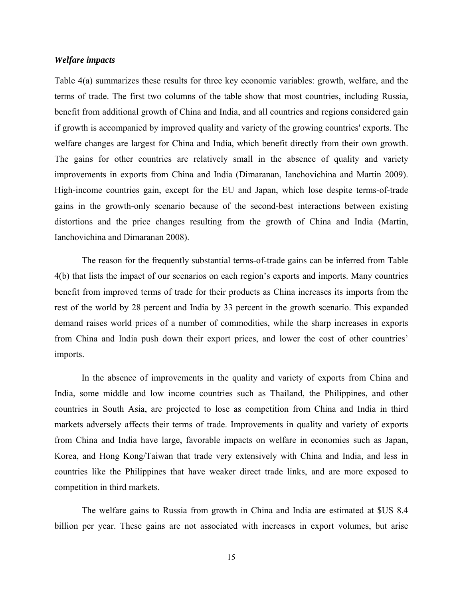#### *Welfare impacts*

Table 4(a) summarizes these results for three key economic variables: growth, welfare, and the terms of trade. The first two columns of the table show that most countries, including Russia, benefit from additional growth of China and India, and all countries and regions considered gain if growth is accompanied by improved quality and variety of the growing countries' exports. The welfare changes are largest for China and India, which benefit directly from their own growth. The gains for other countries are relatively small in the absence of quality and variety improvements in exports from China and India (Dimaranan, Ianchovichina and Martin 2009). High-income countries gain, except for the EU and Japan, which lose despite terms-of-trade gains in the growth-only scenario because of the second-best interactions between existing distortions and the price changes resulting from the growth of China and India (Martin, Ianchovichina and Dimaranan 2008).

The reason for the frequently substantial terms-of-trade gains can be inferred from Table 4(b) that lists the impact of our scenarios on each region's exports and imports. Many countries benefit from improved terms of trade for their products as China increases its imports from the rest of the world by 28 percent and India by 33 percent in the growth scenario. This expanded demand raises world prices of a number of commodities, while the sharp increases in exports from China and India push down their export prices, and lower the cost of other countries' imports.

In the absence of improvements in the quality and variety of exports from China and India, some middle and low income countries such as Thailand, the Philippines, and other countries in South Asia, are projected to lose as competition from China and India in third markets adversely affects their terms of trade. Improvements in quality and variety of exports from China and India have large, favorable impacts on welfare in economies such as Japan, Korea, and Hong Kong/Taiwan that trade very extensively with China and India, and less in countries like the Philippines that have weaker direct trade links, and are more exposed to competition in third markets.

The welfare gains to Russia from growth in China and India are estimated at \$US 8.4 billion per year. These gains are not associated with increases in export volumes, but arise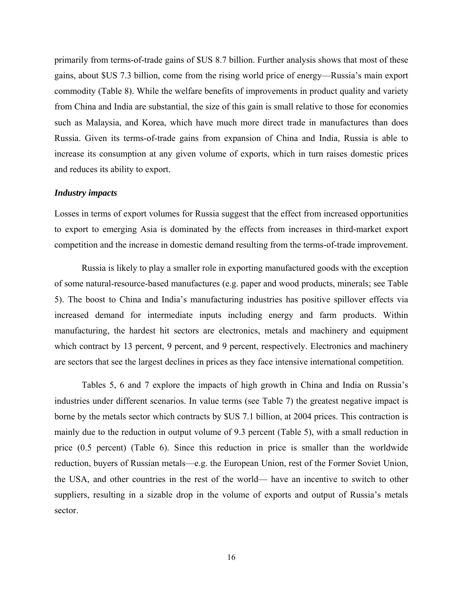primarily from terms-of-trade gains of \$US 8.7 billion. Further analysis shows that most of these gains, about \$US 7.3 billion, come from the rising world price of energy—Russia's main export commodity (Table 8). While the welfare benefits of improvements in product quality and variety from China and India are substantial, the size of this gain is small relative to those for economies such as Malaysia, and Korea, which have much more direct trade in manufactures than does Russia. Given its terms-of-trade gains from expansion of China and India, Russia is able to increase its consumption at any given volume of exports, which in turn raises domestic prices and reduces its ability to export.

#### *Industry impacts*

Losses in terms of export volumes for Russia suggest that the effect from increased opportunities to export to emerging Asia is dominated by the effects from increases in third-market export competition and the increase in domestic demand resulting from the terms-of-trade improvement.

Russia is likely to play a smaller role in exporting manufactured goods with the exception of some natural-resource-based manufactures (e.g. paper and wood products, minerals; see Table 5). The boost to China and India's manufacturing industries has positive spillover effects via increased demand for intermediate inputs including energy and farm products. Within manufacturing, the hardest hit sectors are electronics, metals and machinery and equipment which contract by 13 percent, 9 percent, and 9 percent, respectively. Electronics and machinery are sectors that see the largest declines in prices as they face intensive international competition.

Tables 5, 6 and 7 explore the impacts of high growth in China and India on Russia's industries under different scenarios. In value terms (see Table 7) the greatest negative impact is borne by the metals sector which contracts by \$US 7.1 billion, at 2004 prices. This contraction is mainly due to the reduction in output volume of 9.3 percent (Table 5), with a small reduction in price (0.5 percent) (Table 6). Since this reduction in price is smaller than the worldwide reduction, buyers of Russian metals—e.g. the European Union, rest of the Former Soviet Union, the USA, and other countries in the rest of the world— have an incentive to switch to other suppliers, resulting in a sizable drop in the volume of exports and output of Russia's metals sector.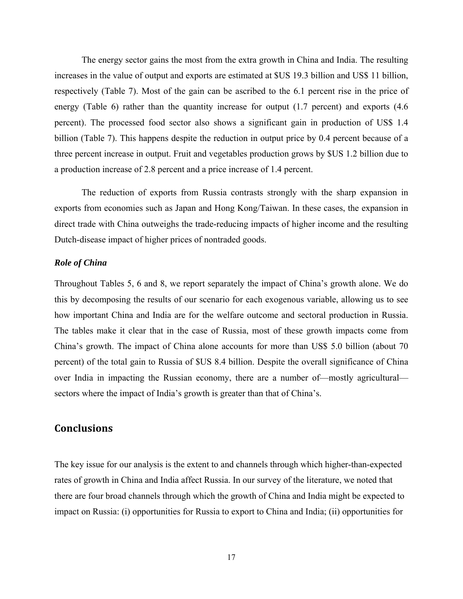The energy sector gains the most from the extra growth in China and India. The resulting increases in the value of output and exports are estimated at \$US 19.3 billion and US\$ 11 billion, respectively (Table 7). Most of the gain can be ascribed to the 6.1 percent rise in the price of energy (Table 6) rather than the quantity increase for output (1.7 percent) and exports (4.6) percent). The processed food sector also shows a significant gain in production of US\$ 1.4 billion (Table 7). This happens despite the reduction in output price by 0.4 percent because of a three percent increase in output. Fruit and vegetables production grows by \$US 1.2 billion due to a production increase of 2.8 percent and a price increase of 1.4 percent.

The reduction of exports from Russia contrasts strongly with the sharp expansion in exports from economies such as Japan and Hong Kong/Taiwan. In these cases, the expansion in direct trade with China outweighs the trade-reducing impacts of higher income and the resulting Dutch-disease impact of higher prices of nontraded goods.

#### *Role of China*

Throughout Tables 5, 6 and 8, we report separately the impact of China's growth alone. We do this by decomposing the results of our scenario for each exogenous variable, allowing us to see how important China and India are for the welfare outcome and sectoral production in Russia. The tables make it clear that in the case of Russia, most of these growth impacts come from China's growth. The impact of China alone accounts for more than US\$ 5.0 billion (about 70 percent) of the total gain to Russia of \$US 8.4 billion. Despite the overall significance of China over India in impacting the Russian economy, there are a number of—mostly agricultural sectors where the impact of India's growth is greater than that of China's.

#### **Conclusions**

The key issue for our analysis is the extent to and channels through which higher-than-expected rates of growth in China and India affect Russia. In our survey of the literature, we noted that there are four broad channels through which the growth of China and India might be expected to impact on Russia: (i) opportunities for Russia to export to China and India; (ii) opportunities for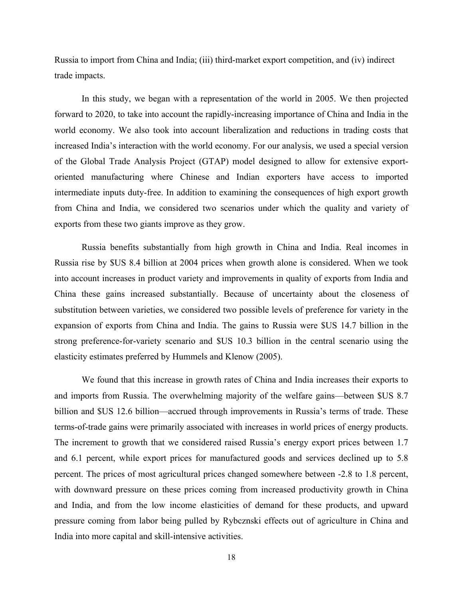Russia to import from China and India; (iii) third-market export competition, and (iv) indirect trade impacts.

In this study, we began with a representation of the world in 2005. We then projected forward to 2020, to take into account the rapidly-increasing importance of China and India in the world economy. We also took into account liberalization and reductions in trading costs that increased India's interaction with the world economy. For our analysis, we used a special version of the Global Trade Analysis Project (GTAP) model designed to allow for extensive exportoriented manufacturing where Chinese and Indian exporters have access to imported intermediate inputs duty-free. In addition to examining the consequences of high export growth from China and India, we considered two scenarios under which the quality and variety of exports from these two giants improve as they grow.

Russia benefits substantially from high growth in China and India. Real incomes in Russia rise by \$US 8.4 billion at 2004 prices when growth alone is considered. When we took into account increases in product variety and improvements in quality of exports from India and China these gains increased substantially. Because of uncertainty about the closeness of substitution between varieties, we considered two possible levels of preference for variety in the expansion of exports from China and India. The gains to Russia were \$US 14.7 billion in the strong preference-for-variety scenario and \$US 10.3 billion in the central scenario using the elasticity estimates preferred by Hummels and Klenow (2005).

We found that this increase in growth rates of China and India increases their exports to and imports from Russia. The overwhelming majority of the welfare gains—between \$US 8.7 billion and \$US 12.6 billion—accrued through improvements in Russia's terms of trade. These terms-of-trade gains were primarily associated with increases in world prices of energy products. The increment to growth that we considered raised Russia's energy export prices between 1.7 and 6.1 percent, while export prices for manufactured goods and services declined up to 5.8 percent. The prices of most agricultural prices changed somewhere between -2.8 to 1.8 percent, with downward pressure on these prices coming from increased productivity growth in China and India, and from the low income elasticities of demand for these products, and upward pressure coming from labor being pulled by Rybcznski effects out of agriculture in China and India into more capital and skill-intensive activities.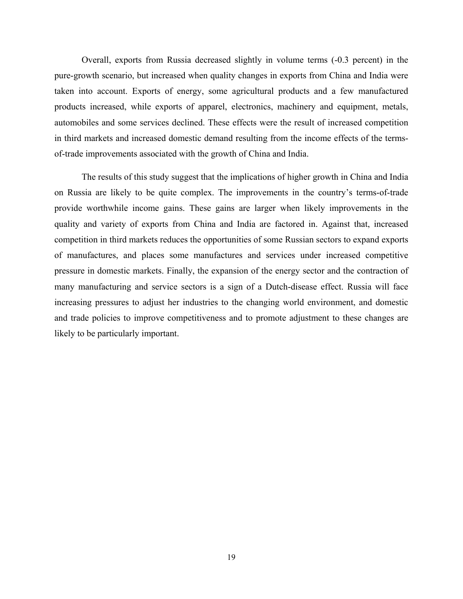Overall, exports from Russia decreased slightly in volume terms (-0.3 percent) in the pure-growth scenario, but increased when quality changes in exports from China and India were taken into account. Exports of energy, some agricultural products and a few manufactured products increased, while exports of apparel, electronics, machinery and equipment, metals, automobiles and some services declined. These effects were the result of increased competition in third markets and increased domestic demand resulting from the income effects of the termsof-trade improvements associated with the growth of China and India.

The results of this study suggest that the implications of higher growth in China and India on Russia are likely to be quite complex. The improvements in the country's terms-of-trade provide worthwhile income gains. These gains are larger when likely improvements in the quality and variety of exports from China and India are factored in. Against that, increased competition in third markets reduces the opportunities of some Russian sectors to expand exports of manufactures, and places some manufactures and services under increased competitive pressure in domestic markets. Finally, the expansion of the energy sector and the contraction of many manufacturing and service sectors is a sign of a Dutch-disease effect. Russia will face increasing pressures to adjust her industries to the changing world environment, and domestic and trade policies to improve competitiveness and to promote adjustment to these changes are likely to be particularly important.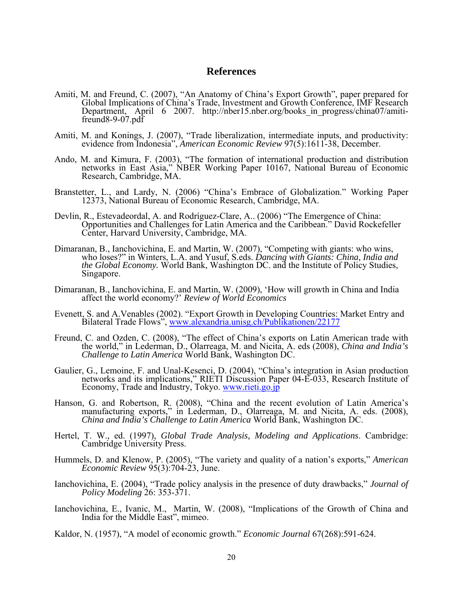#### **References**

- Amiti, M. and Freund, C. (2007), "An Anatomy of China's Export Growth", paper prepared for Global Implications of China's Trade, Investment and Growth Conference, IMF Research Department, April 6 2007. http://nber15.nber.org/books\_in\_progress/china07/amitifreund8-9-07.pdf
- Amiti, M. and Konings, J. (2007), "Trade liberalization, intermediate inputs, and productivity: evidence from Indonesia", *American Economic Review* 97(5):1611-38, December.
- Ando, M. and Kimura, F. (2003), "The formation of international production and distribution networks in East Asia," NBER Working Paper 10167, National Bureau of Economic Research, Cambridge, MA.
- Branstetter, L., and Lardy, N. (2006) "China's Embrace of Globalization." Working Paper 12373, National Bureau of Economic Research, Cambridge, MA.
- Devlin, R., Estevadeordal, A. and Rodríguez-Clare, A.. (2006) "The Emergence of China: Opportunities and Challenges for Latin America and the Caribbean." David Rockefeller Center, Harvard University, Cambridge, MA.
- Dimaranan, B., Ianchovichina, E. and Martin, W. (2007), "Competing with giants: who wins, who loses?" in Winters, L.A. and Yusuf, S.eds. *Dancing with Giants: China, India and the Global Economy.* World Bank, Washington DC. and the Institute of Policy Studies, Singapore.
- Dimaranan, B., Ianchovichina, E. and Martin, W. (2009), 'How will growth in China and India affect the world economy?' *Review of World Economics*
- Evenett, S. and A.Venables (2002). "Export Growth in Developing Countries: Market Entry and Bilateral Trade Flows", www.alexandria.unisg.ch/Publikationen/22177
- Freund, C. and Ozden, C. (2008), "The effect of China's exports on Latin American trade with the world," in Lederman, D., Olarreaga, M. and Nicita, A. eds (2008), *China and India's Challenge to Latin America* World Bank, Washington DC.
- Gaulier, G., Lemoine, F. and Unal-Kesenci, D. (2004), "China's integration in Asian production networks and its implications," RIETI Discussion Paper 04-E-033, Research Institute of Economy, Trade and Industry, Tokyo. www.rieti.go.jp
- Hanson, G. and Robertson, R. (2008), "China and the recent evolution of Latin America's manufacturing exports," in Lederman, D., Olarreaga, M. and Nicita, A. eds. (2008), *China and India's Challenge to Latin America* World Bank, Washington DC.
- Hertel, T. W., ed. (1997), *Global Trade Analysis, Modeling and Applications*. Cambridge: Cambridge University Press.
- Hummels, D. and Klenow, P. (2005), "The variety and quality of a nation's exports," *American Economic Review* 95(3):704-23, June.
- Ianchovichina, E. (2004), "Trade policy analysis in the presence of duty drawbacks," *Journal of Policy Modeling* 26: 353-371.
- Ianchovichina, E., Ivanic, M., Martin, W. (2008), "Implications of the Growth of China and India for the Middle East", mimeo.
- Kaldor, N. (1957), "A model of economic growth." *Economic Journal* 67(268):591-624.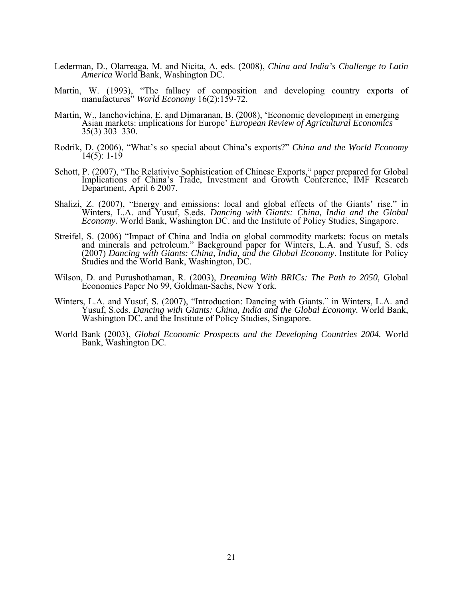- Lederman, D., Olarreaga, M. and Nicita, A. eds. (2008), *China and India's Challenge to Latin America* World Bank, Washington DC.
- Martin, W. (1993), "The fallacy of composition and developing country exports of manufactures" *World Economy* 16(2):159-72.
- Martin, W., Ianchovichina, E. and Dimaranan, B. (2008), 'Economic development in emerging Asian markets: implications for Europe' *European Review of Agricultural Economics* 35(3) 303–330.
- Rodrik, D. (2006), "What's so special about China's exports?" *China and the World Economy*  $14(5)$ : 1-19
- Schott, P. (2007), "The Relativive Sophistication of Chinese Exports," paper prepared for Global Implications of China's Trade, Investment and Growth Conference, IMF Research Department, April 6 2007.
- Shalizi, Z. (2007), "Energy and emissions: local and global effects of the Giants' rise." in Winters, L.A. and Yusuf, S.eds. *Dancing with Giants: China, India and the Global Economy.* World Bank, Washington DC. and the Institute of Policy Studies, Singapore.
- Streifel, S. (2006) "Impact of China and India on global commodity markets: focus on metals and minerals and petroleum." Background paper for Winters, L.A. and Yusuf, S. eds (2007) *Dancing with Giants: China, India, and the Global Economy*. Institute for Policy Studies and the World Bank, Washington, DC.
- Wilson, D. and Purushothaman, R. (2003), *Dreaming With BRICs: The Path to 2050,* Global Economics Paper No 99, Goldman-Sachs, New York.
- Winters, L.A. and Yusuf, S. (2007), "Introduction: Dancing with Giants." in Winters, L.A. and Yusuf, S.eds. *Dancing with Giants: China, India and the Global Economy.* World Bank, Washington DC. and the Institute of Policy Studies, Singapore.
- World Bank (2003), *Global Economic Prospects and the Developing Countries 2004.* World Bank, Washington DC.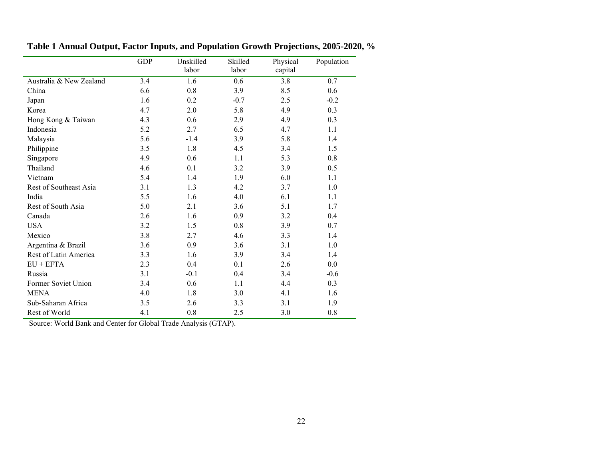|                         | <b>GDP</b> | Unskilled | Skilled | Physical | Population |
|-------------------------|------------|-----------|---------|----------|------------|
|                         |            | labor     | labor   | capital  |            |
| Australia & New Zealand | 3.4        | 1.6       | 0.6     | 3.8      | $0.7\,$    |
| China                   | 6.6        | 0.8       | 3.9     | 8.5      | 0.6        |
| Japan                   | 1.6        | 0.2       | $-0.7$  | 2.5      | $-0.2$     |
| Korea                   | 4.7        | 2.0       | 5.8     | 4.9      | 0.3        |
| Hong Kong & Taiwan      | 4.3        | 0.6       | 2.9     | 4.9      | 0.3        |
| Indonesia               | 5.2        | 2.7       | 6.5     | 4.7      | 1.1        |
| Malaysia                | 5.6        | $-1.4$    | 3.9     | 5.8      | 1.4        |
| Philippine              | 3.5        | 1.8       | 4.5     | 3.4      | 1.5        |
| Singapore               | 4.9        | 0.6       | 1.1     | 5.3      | 0.8        |
| Thailand                | 4.6        | 0.1       | 3.2     | 3.9      | 0.5        |
| Vietnam                 | 5.4        | 1.4       | 1.9     | 6.0      | 1.1        |
| Rest of Southeast Asia  | 3.1        | 1.3       | 4.2     | 3.7      | 1.0        |
| India                   | 5.5        | 1.6       | 4.0     | 6.1      | 1.1        |
| Rest of South Asia      | 5.0        | 2.1       | 3.6     | 5.1      | 1.7        |
| Canada                  | 2.6        | 1.6       | 0.9     | 3.2      | 0.4        |
| <b>USA</b>              | 3.2        | 1.5       | 0.8     | 3.9      | 0.7        |
| Mexico                  | 3.8        | 2.7       | 4.6     | 3.3      | 1.4        |
| Argentina & Brazil      | 3.6        | 0.9       | 3.6     | 3.1      | 1.0        |
| Rest of Latin America   | 3.3        | 1.6       | 3.9     | 3.4      | 1.4        |
| $EU + EFTA$             | 2.3        | 0.4       | 0.1     | 2.6      | 0.0        |
| Russia                  | 3.1        | $-0.1$    | 0.4     | 3.4      | $-0.6$     |
| Former Soviet Union     | 3.4        | 0.6       | 1.1     | 4.4      | 0.3        |
| <b>MENA</b>             | 4.0        | 1.8       | 3.0     | 4.1      | 1.6        |
| Sub-Saharan Africa      | 3.5        | 2.6       | 3.3     | 3.1      | 1.9        |
| Rest of World           | 4.1        | 0.8       | 2.5     | 3.0      | $0.8\,$    |

**Table 1 Annual Output, Factor Inputs, and Population Growth Projections, 2005-2020, %** 

Source: World Bank and Center for Global Trade Analysis (GTAP).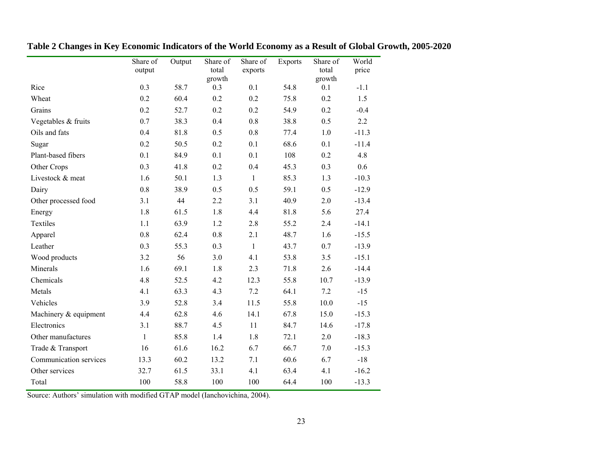|                        | Share of<br>output | Output | Share of<br>total<br>growth | Share of<br>exports | <b>Exports</b> | Share of<br>total<br>growth | World<br>price |
|------------------------|--------------------|--------|-----------------------------|---------------------|----------------|-----------------------------|----------------|
| Rice                   | 0.3                | 58.7   | 0.3                         | 0.1                 | 54.8           | 0.1                         | $-1.1$         |
| Wheat                  | 0.2                | 60.4   | 0.2                         | 0.2                 | 75.8           | 0.2                         | 1.5            |
| Grains                 | 0.2                | 52.7   | 0.2                         | 0.2                 | 54.9           | 0.2                         | $-0.4$         |
| Vegetables & fruits    | 0.7                | 38.3   | 0.4                         | 0.8                 | 38.8           | 0.5                         | 2.2            |
| Oils and fats          | 0.4                | 81.8   | 0.5                         | $0.8\,$             | 77.4           | $1.0\,$                     | $-11.3$        |
| Sugar                  | 0.2                | 50.5   | 0.2                         | 0.1                 | 68.6           | 0.1                         | $-11.4$        |
| Plant-based fibers     | 0.1                | 84.9   | 0.1                         | 0.1                 | 108            | 0.2                         | 4.8            |
| Other Crops            | 0.3                | 41.8   | 0.2                         | 0.4                 | 45.3           | 0.3                         | 0.6            |
| Livestock & meat       | 1.6                | 50.1   | 1.3                         | $\mathbf{1}$        | 85.3           | 1.3                         | $-10.3$        |
| Dairy                  | $0.8\,$            | 38.9   | 0.5                         | 0.5                 | 59.1           | 0.5                         | $-12.9$        |
| Other processed food   | 3.1                | 44     | 2.2                         | 3.1                 | 40.9           | 2.0                         | $-13.4$        |
| Energy                 | 1.8                | 61.5   | 1.8                         | 4.4                 | 81.8           | 5.6                         | 27.4           |
| Textiles               | 1.1                | 63.9   | 1.2                         | 2.8                 | 55.2           | 2.4                         | $-14.1$        |
| Apparel                | 0.8                | 62.4   | 0.8                         | 2.1                 | 48.7           | 1.6                         | $-15.5$        |
| Leather                | 0.3                | 55.3   | 0.3                         | $\mathbf{1}$        | 43.7           | 0.7                         | $-13.9$        |
| Wood products          | 3.2                | 56     | 3.0                         | 4.1                 | 53.8           | 3.5                         | $-15.1$        |
| Minerals               | 1.6                | 69.1   | 1.8                         | 2.3                 | 71.8           | 2.6                         | $-14.4$        |
| Chemicals              | 4.8                | 52.5   | 4.2                         | 12.3                | 55.8           | 10.7                        | $-13.9$        |
| Metals                 | 4.1                | 63.3   | 4.3                         | 7.2                 | 64.1           | 7.2                         | $-15$          |
| Vehicles               | 3.9                | 52.8   | 3.4                         | 11.5                | 55.8           | 10.0                        | $-15$          |
| Machinery & equipment  | 4.4                | 62.8   | 4.6                         | 14.1                | 67.8           | 15.0                        | $-15.3$        |
| Electronics            | 3.1                | 88.7   | 4.5                         | 11                  | 84.7           | 14.6                        | $-17.8$        |
| Other manufactures     | $\mathbf{1}$       | 85.8   | 1.4                         | 1.8                 | 72.1           | 2.0                         | $-18.3$        |
| Trade & Transport      | 16                 | 61.6   | 16.2                        | 6.7                 | 66.7           | 7.0                         | $-15.3$        |
| Communication services | 13.3               | 60.2   | 13.2                        | 7.1                 | 60.6           | 6.7                         | $-18$          |
| Other services         | 32.7               | 61.5   | 33.1                        | 4.1                 | 63.4           | 4.1                         | $-16.2$        |
| Total                  | 100                | 58.8   | 100                         | 100                 | 64.4           | 100                         | $-13.3$        |

**Table 2 Changes in Key Economic Indicators of the World Economy as a Result of Global Growth, 2005-2020** 

Source: Authors' simulation with modified GTAP model (Ianchovichina, 2004).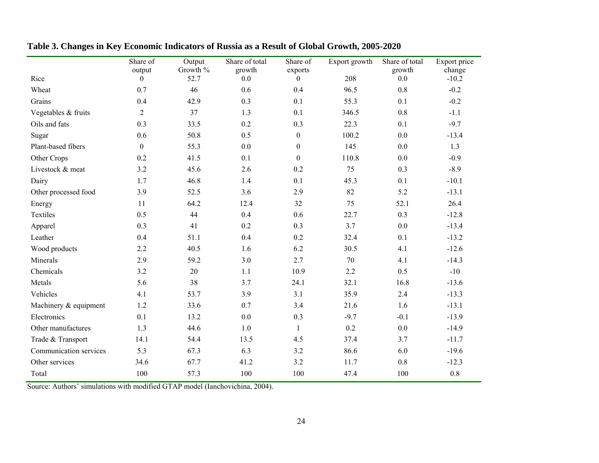|                        | Share of<br>output | Output<br>Growth % | Share of total<br>growth | Share of<br>exports | Export growth | Share of total<br>growth | Export price<br>change |
|------------------------|--------------------|--------------------|--------------------------|---------------------|---------------|--------------------------|------------------------|
| Rice                   | $\boldsymbol{0}$   | 52.7               | 0.0                      | $\boldsymbol{0}$    | 208           | 0.0                      | $-10.2$                |
| Wheat                  | 0.7                | 46                 | 0.6                      | 0.4                 | 96.5          | 0.8                      | $-0.2$                 |
| Grains                 | 0.4                | 42.9               | 0.3                      | 0.1                 | 55.3          | 0.1                      | $-0.2$                 |
| Vegetables & fruits    | $\overline{2}$     | 37                 | 1.3                      | 0.1                 | 346.5         | 0.8                      | $-1.1$                 |
| Oils and fats          | 0.3                | 33.5               | 0.2                      | 0.3                 | 22.3          | 0.1                      | $-9.7$                 |
| Sugar                  | 0.6                | 50.8               | 0.5                      | $\boldsymbol{0}$    | 100.2         | 0.0                      | $-13.4$                |
| Plant-based fibers     | $\boldsymbol{0}$   | 55.3               | 0.0                      | $\boldsymbol{0}$    | 145           | 0.0                      | 1.3                    |
| Other Crops            | 0.2                | 41.5               | 0.1                      | $\boldsymbol{0}$    | 110.8         | 0.0                      | $-0.9$                 |
| Livestock & meat       | 3.2                | 45.6               | 2.6                      | 0.2                 | 75            | 0.3                      | $-8.9$                 |
| Dairy                  | 1.7                | 46.8               | 1.4                      | 0.1                 | 45.3          | 0.1                      | $-10.1$                |
| Other processed food   | 3.9                | 52.5               | 3.6                      | 2.9                 | 82            | 5.2                      | $-13.1$                |
| Energy                 | 11                 | 64.2               | 12.4                     | 32                  | 75            | 52.1                     | 26.4                   |
| Textiles               | 0.5                | 44                 | 0.4                      | 0.6                 | 22.7          | 0.3                      | $-12.8$                |
| Apparel                | 0.3                | 41                 | 0.2                      | 0.3                 | 3.7           | 0.0                      | $-13.4$                |
| Leather                | 0.4                | 51.1               | 0.4                      | 0.2                 | 32.4          | 0.1                      | $-13.2$                |
| Wood products          | 2.2                | 40.5               | 1.6                      | 6.2                 | 30.5          | 4.1                      | $-12.6$                |
| Minerals               | 2.9                | 59.2               | 3.0                      | 2.7                 | 70            | 4.1                      | $-14.3$                |
| Chemicals              | 3.2                | 20                 | 1.1                      | 10.9                | 2.2           | 0.5                      | $-10$                  |
| Metals                 | 5.6                | 38                 | 3.7                      | 24.1                | 32.1          | 16.8                     | $-13.6$                |
| Vehicles               | 4.1                | 53.7               | 3.9                      | 3.1                 | 35.9          | 2.4                      | $-13.3$                |
| Machinery & equipment  | 1.2                | 33.6               | 0.7                      | 3.4                 | 21.6          | 1.6                      | $-13.1$                |
| Electronics            | 0.1                | 13.2               | 0.0                      | 0.3                 | $-9.7$        | $-0.1$                   | $-13.9$                |
| Other manufactures     | 1.3                | 44.6               | 1.0                      | $\mathbf{1}$        | 0.2           | 0.0                      | $-14.9$                |
| Trade & Transport      | 14.1               | 54.4               | 13.5                     | 4.5                 | 37.4          | 3.7                      | $-11.7$                |
| Communication services | 5.3                | 67.3               | 6.3                      | 3.2                 | 86.6          | 6.0                      | $-19.6$                |
| Other services         | 34.6               | 67.7               | 41.2                     | 3.2                 | 11.7          | 0.8                      | $-12.3$                |
| Total                  | 100                | 57.3               | 100                      | 100                 | 47.4          | 100                      | 0.8                    |

**Table 3. Changes in Key Economic Indicators of Russia as a Result of Global Growth, 2005-2020** 

Source: Authors' simulations with modified GTAP model (Ianchovichina, 2004).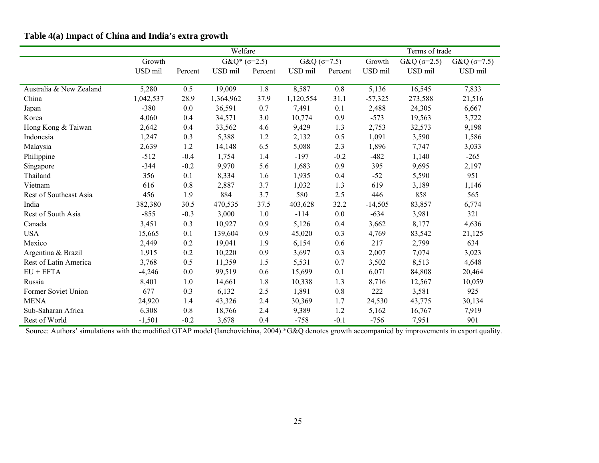|                         |           |         | Welfare              |         |              |         | Terms of trade |                      |              |  |
|-------------------------|-----------|---------|----------------------|---------|--------------|---------|----------------|----------------------|--------------|--|
|                         | Growth    |         | $G\&Q^*(\sigma=2.5)$ |         | $G&Q(6=7.5)$ |         | Growth         | $G&Q( \sigma = 2.5)$ | $G&Q(6=7.5)$ |  |
|                         | USD mil   | Percent | USD mil              | Percent | USD mil      | Percent | USD mil        | USD mil              | USD mil      |  |
| Australia & New Zealand | 5,280     | 0.5     | 19,009               | 1.8     | 8,587        | $0.8\,$ | 5,136          | 16,545               | 7,833        |  |
| China                   | 1,042,537 | 28.9    | 1,364,962            | 37.9    | 1,120,554    | 31.1    | $-57,325$      | 273,588              | 21,516       |  |
| Japan                   | $-380$    | 0.0     | 36,591               | 0.7     | 7,491        | 0.1     | 2,488          | 24,305               | 6,667        |  |
| Korea                   | 4,060     | 0.4     | 34,571               | 3.0     | 10,774       | 0.9     | $-573$         | 19,563               | 3,722        |  |
| Hong Kong & Taiwan      | 2,642     | 0.4     | 33,562               | 4.6     | 9,429        | 1.3     | 2,753          | 32,573               | 9,198        |  |
| Indonesia               | 1,247     | 0.3     | 5,388                | 1.2     | 2,132        | 0.5     | 1,091          | 3,590                | 1,586        |  |
| Malaysia                | 2,639     | 1.2     | 14,148               | 6.5     | 5,088        | 2.3     | 1,896          | 7,747                | 3,033        |  |
| Philippine              | $-512$    | $-0.4$  | 1,754                | 1.4     | $-197$       | $-0.2$  | $-482$         | 1,140                | $-265$       |  |
| Singapore               | $-344$    | $-0.2$  | 9,970                | 5.6     | 1,683        | 0.9     | 395            | 9,695                | 2,197        |  |
| Thailand                | 356       | 0.1     | 8,334                | 1.6     | 1,935        | 0.4     | $-52$          | 5,590                | 951          |  |
| Vietnam                 | 616       | 0.8     | 2,887                | 3.7     | 1,032        | 1.3     | 619            | 3,189                | 1,146        |  |
| Rest of Southeast Asia  | 456       | 1.9     | 884                  | 3.7     | 580          | 2.5     | 446            | 858                  | 565          |  |
| India                   | 382,380   | 30.5    | 470,535              | 37.5    | 403,628      | 32.2    | $-14,505$      | 83,857               | 6,774        |  |
| Rest of South Asia      | $-855$    | $-0.3$  | 3,000                | 1.0     | $-114$       | 0.0     | $-634$         | 3,981                | 321          |  |
| Canada                  | 3,451     | 0.3     | 10,927               | 0.9     | 5,126        | 0.4     | 3,662          | 8,177                | 4,636        |  |
| <b>USA</b>              | 15,665    | 0.1     | 139,604              | 0.9     | 45,020       | 0.3     | 4,769          | 83,542               | 21,125       |  |
| Mexico                  | 2,449     | 0.2     | 19,041               | 1.9     | 6,154        | 0.6     | 217            | 2,799                | 634          |  |
| Argentina & Brazil      | 1,915     | 0.2     | 10,220               | 0.9     | 3,697        | 0.3     | 2,007          | 7,074                | 3,023        |  |
| Rest of Latin America   | 3,768     | 0.5     | 11,359               | 1.5     | 5,531        | 0.7     | 3,502          | 8,513                | 4,648        |  |
| $EU + EFTA$             | $-4,246$  | 0.0     | 99,519               | 0.6     | 15,699       | 0.1     | 6,071          | 84,808               | 20,464       |  |
| Russia                  | 8,401     | 1.0     | 14,661               | 1.8     | 10,338       | 1.3     | 8,716          | 12,567               | 10,059       |  |
| Former Soviet Union     | 677       | 0.3     | 6,132                | 2.5     | 1,891        | $0.8\,$ | 222            | 3,581                | 925          |  |
| <b>MENA</b>             | 24,920    | 1.4     | 43,326               | 2.4     | 30,369       | 1.7     | 24,530         | 43,775               | 30,134       |  |
| Sub-Saharan Africa      | 6,308     | $0.8\,$ | 18,766               | 2.4     | 9,389        | 1.2     | 5,162          | 16,767               | 7,919        |  |
| Rest of World           | $-1,501$  | $-0.2$  | 3,678                | 0.4     | $-758$       | $-0.1$  | $-756$         | 7,951                | 901          |  |

## **Table 4(a) Impact of China and India's extra growth**

Source: Authors' simulations with the modified GTAP model (Ianchovichina, 2004).\*G&Q denotes growth accompanied by improvements in export quality.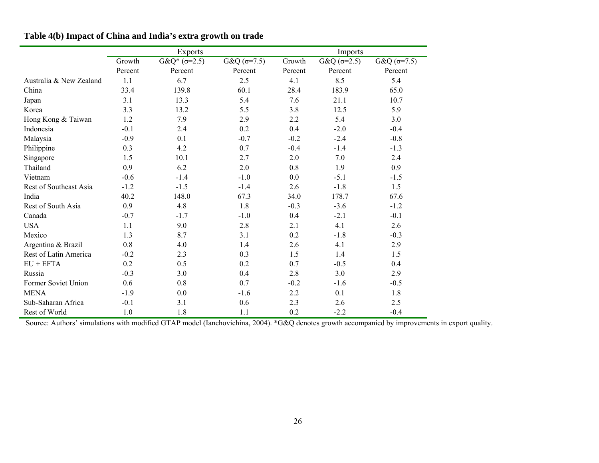|                         |         | <b>Exports</b>      |              |         | Imports           |                      |
|-------------------------|---------|---------------------|--------------|---------|-------------------|----------------------|
|                         | Growth  | $G&Q^*(\sigma=2.5)$ | $G&Q(σ=7.5)$ | Growth  | $G&Q(\sigma=2.5)$ | $G&Q( \sigma = 7.5)$ |
|                         | Percent | Percent             | Percent      | Percent | Percent           | Percent              |
| Australia & New Zealand | 1.1     | 6.7                 | 2.5          | 4.1     | 8.5               | 5.4                  |
| China                   | 33.4    | 139.8               | 60.1         | 28.4    | 183.9             | 65.0                 |
| Japan                   | 3.1     | 13.3                | 5.4          | 7.6     | 21.1              | 10.7                 |
| Korea                   | 3.3     | 13.2                | 5.5          | 3.8     | 12.5              | 5.9                  |
| Hong Kong & Taiwan      | 1.2     | 7.9                 | 2.9          | 2.2     | 5.4               | 3.0                  |
| Indonesia               | $-0.1$  | 2.4                 | 0.2          | 0.4     | $-2.0$            | $-0.4$               |
| Malaysia                | $-0.9$  | 0.1                 | $-0.7$       | $-0.2$  | $-2.4$            | $-0.8$               |
| Philippine              | 0.3     | 4.2                 | 0.7          | $-0.4$  | $-1.4$            | $-1.3$               |
| Singapore               | 1.5     | 10.1                | 2.7          | 2.0     | 7.0               | 2.4                  |
| Thailand                | 0.9     | 6.2                 | 2.0          | 0.8     | 1.9               | 0.9                  |
| Vietnam                 | $-0.6$  | $-1.4$              | $-1.0$       | 0.0     | $-5.1$            | $-1.5$               |
| Rest of Southeast Asia  | $-1.2$  | $-1.5$              | $-1.4$       | 2.6     | $-1.8$            | 1.5                  |
| India                   | 40.2    | 148.0               | 67.3         | 34.0    | 178.7             | 67.6                 |
| Rest of South Asia      | 0.9     | 4.8                 | 1.8          | $-0.3$  | $-3.6$            | $-1.2$               |
| Canada                  | $-0.7$  | $-1.7$              | $-1.0$       | 0.4     | $-2.1$            | $-0.1$               |
| <b>USA</b>              | 1.1     | 9.0                 | 2.8          | 2.1     | 4.1               | 2.6                  |
| Mexico                  | 1.3     | 8.7                 | 3.1          | 0.2     | $-1.8$            | $-0.3$               |
| Argentina & Brazil      | 0.8     | 4.0                 | 1.4          | 2.6     | 4.1               | 2.9                  |
| Rest of Latin America   | $-0.2$  | 2.3                 | 0.3          | 1.5     | 1.4               | 1.5                  |
| $EU + EFTA$             | 0.2     | 0.5                 | 0.2          | 0.7     | $-0.5$            | 0.4                  |
| Russia                  | $-0.3$  | 3.0                 | 0.4          | 2.8     | 3.0               | 2.9                  |
| Former Soviet Union     | 0.6     | 0.8                 | 0.7          | $-0.2$  | $-1.6$            | $-0.5$               |
| <b>MENA</b>             | $-1.9$  | 0.0                 | $-1.6$       | 2.2     | 0.1               | 1.8                  |
| Sub-Saharan Africa      | $-0.1$  | 3.1                 | 0.6          | 2.3     | 2.6               | 2.5                  |
| Rest of World           | 1.0     | 1.8                 | 1.1          | 0.2     | $-2.2$            | $-0.4$               |

## **Table 4(b) Impact of China and India's extra growth on trade**

Source: Authors' simulations with modified GTAP model (Ianchovichina, 2004). \*G&Q denotes growth accompanied by improvements in export quality.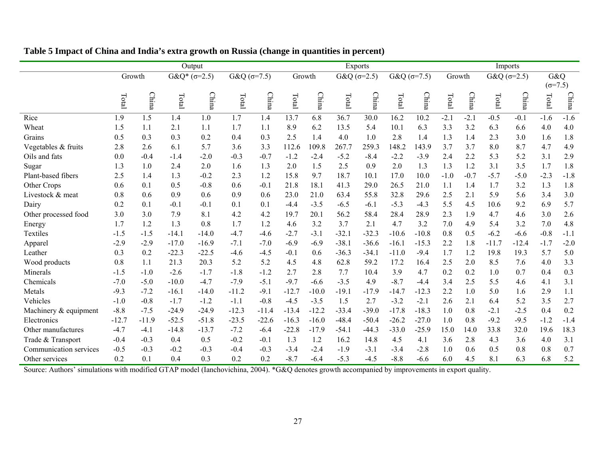|                        |         |         |         | Output              |                      |         |         |              |         | Exports            |         |                      | Imports |        |         |                    |                  |              |
|------------------------|---------|---------|---------|---------------------|----------------------|---------|---------|--------------|---------|--------------------|---------|----------------------|---------|--------|---------|--------------------|------------------|--------------|
|                        |         | Growth  |         | $G&Q^*(\sigma=2.5)$ | G&Q $(\sigma = 7.5)$ |         |         | Growth       |         | $G&Q( \sigma=2.5)$ |         | G&Q ( $\sigma$ =7.5) | Growth  |        |         | G&Q $(\sigma=2.5)$ | G&Q              |              |
|                        |         |         |         |                     |                      |         |         |              |         |                    |         |                      |         |        |         |                    | $(\sigma = 7.5)$ |              |
|                        | Total   | China   | Total   | China               | Total                | China   | Total   | <b>China</b> | Total   | China              | Total   | China                | Total   | China  | Total   | China              | Total            | <b>China</b> |
| Rice                   | 1.9     | 1.5     | 1.4     | 1.0                 | 1.7                  | 1.4     | 13.7    | 6.8          | 36.7    | 30.0               | 16.2    | 10.2                 | $-2.1$  | $-2.1$ | $-0.5$  | $-0.1$             | $-1.6$           | $-1.6$       |
| Wheat                  | 1.5     | 1.1     | 2.1     | 1.1                 | 1.7                  | 1.1     | 8.9     | 6.2          | 13.5    | 5.4                | 10.1    | 6.3                  | 3.3     | 3.2    | 6.3     | 6.6                | 4.0              | 4.0          |
| Grains                 | 0.5     | 0.3     | 0.3     | 0.2                 | 0.4                  | 0.3     | 2.5     | 1.4          | 4.0     | 1.0                | 2.8     | 1.4                  | 1.3     | 1.4    | 2.3     | 3.0                | 1.6              | 1.8          |
| Vegetables & fruits    | 2.8     | 2.6     | 6.1     | 5.7                 | 3.6                  | 3.3     | 112.6   | 109.8        | 267.7   | 259.3              | 148.2   | 143.9                | 3.7     | 3.7    | 8.0     | 8.7                | 4.7              | 4.9          |
| Oils and fats          | 0.0     | $-0.4$  | $-1.4$  | $-2.0$              | $-0.3$               | $-0.7$  | $-1.2$  | $-2.4$       | $-5.2$  | $-8.4$             | $-2.2$  | $-3.9$               | 2.4     | 2.2    | 5.3     | 5.2                | 3.1              | 2.9          |
| Sugar                  | 1.3     | 1.0     | 2.4     | 2.0                 | 1.6                  | 1.3     | 2.0     | 1.5          | 2.5     | 0.9                | 2.0     | 1.3                  | 1.3     | 1.2    | 3.1     | 3.5                | 1.7              | 1.8          |
| Plant-based fibers     | 2.5     | 1.4     | 1.3     | $-0.2$              | 2.3                  | 1.2     | 15.8    | 9.7          | 18.7    | 10.1               | 17.0    | 10.0                 | $-1.0$  | $-0.7$ | $-5.7$  | $-5.0$             | $-2.3$           | $-1.8$       |
| Other Crops            | 0.6     | 0.1     | 0.5     | $-0.8$              | 0.6                  | $-0.1$  | 21.8    | 18.1         | 41.3    | 29.0               | 26.5    | 21.0                 | 1.1     | 1.4    | 1.7     | 3.2                | 1.3              | 1.8          |
| Livestock & meat       | 0.8     | 0.6     | 0.9     | 0.6                 | 0.9                  | 0.6     | 23.0    | 21.0         | 63.4    | 55.8               | 32.8    | 29.6                 | 2.5     | 2.1    | 5.9     | 5.6                | 3.4              | 3.0          |
| Dairy                  | 0.2     | 0.1     | $-0.1$  | $-0.1$              | 0.1                  | 0.1     | $-4.4$  | $-3.5$       | $-6.5$  | $-6.1$             | $-5.3$  | $-4.3$               | 5.5     | 4.5    | 10.6    | 9.2                | 6.9              | 5.7          |
| Other processed food   | 3.0     | 3.0     | 7.9     | 8.1                 | 4.2                  | 4.2     | 19.7    | 20.1         | 56.2    | 58.4               | 28.4    | 28.9                 | 2.3     | 1.9    | 4.7     | 4.6                | 3.0              | 2.6          |
| Energy                 | 1.7     | 1.2     | 1.3     | 0.8                 | 1.7                  | 1.2     | 4.6     | 3.2          | 3.7     | 2.1                | 4.7     | 3.2                  | 7.0     | 4.9    | 5.4     | 3.2                | 7.0              | 4.8          |
| Textiles               | $-1.5$  | $-1.5$  | $-14.1$ | $-14.0$             | $-4.7$               | $-4.6$  | $-2.7$  | $-3.1$       | $-32.1$ | $-32.3$            | $-10.6$ | $-10.8$              | 0.8     | 0.5    | $-6.2$  | $-6.6$             | $-0.8$           | $-1.1$       |
| Apparel                | $-2.9$  | $-2.9$  | $-17.0$ | $-16.9$             | $-7.1$               | $-7.0$  | $-6.9$  | $-6.9$       | $-38.1$ | $-36.6$            | $-16.1$ | $-15.3$              | 2.2     | 1.8    | $-11.7$ | $-12.4$            | $-1.7$           | $-2.0$       |
| Leather                | 0.3     | 0.2     | $-22.3$ | $-22.5$             | $-4.6$               | $-4.5$  | $-0.1$  | 0.6          | $-36.3$ | $-34.1$            | $-11.0$ | $-9.4$               | 1.7     | 1.2    | 19.8    | 19.3               | 5.7              | 5.0          |
| Wood products          | 0.8     | 1.1     | 21.3    | 20.3                | 5.2                  | 5.2     | 4.5     | 4.8          | 62.8    | 59.2               | 17.2    | 16.4                 | 2.5     | 2.0    | 8.5     | 7.6                | 4.0              | 3.3          |
| Minerals               | $-1.5$  | $-1.0$  | $-2.6$  | $-1.7$              | $-1.8$               | $-1.2$  | 2.7     | 2.8          | 7.7     | 10.4               | 3.9     | 4.7                  | 0.2     | 0.2    | 1.0     | 0.7                | 0.4              | 0.3          |
| Chemicals              | $-7.0$  | $-5.0$  | $-10.0$ | $-4.7$              | $-7.9$               | $-5.1$  | $-9.7$  | $-6.6$       | $-3.5$  | 4.9                | $-8.7$  | $-4.4$               | 3.4     | 2.5    | 5.5     | 4.6                | 4.1              | 3.1          |
| Metals                 | $-9.3$  | $-7.2$  | $-16.1$ | $-14.0$             | $-11.2$              | $-9.1$  | $-12.7$ | $-10.0$      | $-19.1$ | $-17.9$            | $-14.7$ | $-12.3$              | 2.2     | 1.0    | 5.0     | 1.6                | 2.9              | 1.1          |
| Vehicles               | $-1.0$  | $-0.8$  | $-1.7$  | $-1.2$              | $-1.1$               | $-0.8$  | $-4.5$  | $-3.5$       | 1.5     | 2.7                | $-3.2$  | $-2.1$               | 2.6     | 2.1    | 6.4     | 5.2                | 3.5              | 2.7          |
| Machinery & equipment  | $-8.8$  | $-7.5$  | $-24.9$ | $-24.9$             | $-12.3$              | $-11.4$ | $-13.4$ | $-12.2$      | $-33.4$ | $-39.0$            | $-17.8$ | $-18.3$              | 1.0     | 0.8    | $-2.1$  | $-2.5$             | 0.4              | 0.2          |
| Electronics            | $-12.7$ | $-11.9$ | $-52.5$ | $-51.8$             | $-23.5$              | $-22.6$ | $-16.3$ | $-16.0$      | $-48.4$ | $-50.4$            | $-26.2$ | $-27.0$              | 1.0     | 0.8    | $-9.2$  | $-9.5$             | $-1.2$           | $-1.4$       |
| Other manufactures     | $-4.7$  | -4.1    | $-14.8$ | $-13.7$             | $-7.2$               | $-6.4$  | $-22.8$ | $-17.9$      | $-54.1$ | $-44.3$            | $-33.0$ | $-25.9$              | 15.0    | 14.0   | 33.8    | 32.0               | 19.6             | 18.3         |
| Trade & Transport      | $-0.4$  | $-0.3$  | 0.4     | 0.5                 | $-0.2$               | $-0.1$  | 1.3     | 1.2          | 16.2    | 14.8               | 4.5     | 4.1                  | 3.6     | 2.8    | 4.3     | 3.6                | 4.0              | 3.1          |
| Communication services | $-0.5$  | $-0.3$  | $-0.2$  | $-0.3$              | $-0.4$               | $-0.3$  | $-3.4$  | $-2.4$       | $-1.9$  | $-3.1$             | $-3.4$  | $-2.8$               | 1.0     | 0.6    | 0.5     | 0.8                | 0.8              | 0.7          |
| Other services         | 0.2     | 0.1     | 0.4     | 0.3                 | 0.2                  | 0.2     | $-8.7$  | $-6.4$       | $-5.3$  | $-4.5$             | $-8.8$  | $-6.6$               | 6.0     | 4.5    | 8.1     | 6.3                | 6.8              | 5.2          |

**Table 5 Impact of China and India's extra growth on Russia (change in quantities in percent)** 

Source: Authors' simulations with modified GTAP model (Ianchovichina, 2004). \*G&Q denotes growth accompanied by improvements in export quality.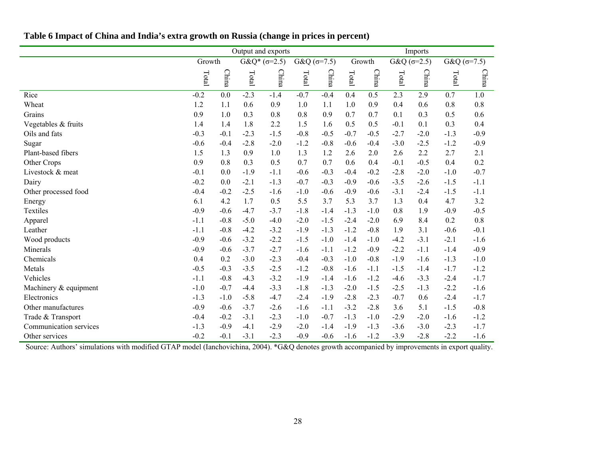|                        | Output and exports |        |                     |        |                      |        |        |              | Imports              |        |              |        |  |  |
|------------------------|--------------------|--------|---------------------|--------|----------------------|--------|--------|--------------|----------------------|--------|--------------|--------|--|--|
|                        | Growth             |        | $G&Q^*(\sigma=2.5)$ |        | G&Q $(\sigma = 7.5)$ |        |        | Growth       | $G&Q( \sigma = 2.5)$ |        | $G&Q(σ=7.5)$ |        |  |  |
|                        | Total              | China  | Total               | China  | Total                | China  | Total  | <b>China</b> | Total                | China  | Total        | China  |  |  |
| Rice                   | $-0.2$             | 0.0    | $-2.3$              | $-1.4$ | $-0.7$               | $-0.4$ | 0.4    | 0.5          | 2.3                  | 2.9    | 0.7          | 1.0    |  |  |
| Wheat                  | 1.2                | 1.1    | 0.6                 | 0.9    | 1.0                  | 1.1    | 1.0    | 0.9          | 0.4                  | 0.6    | 0.8          | 0.8    |  |  |
| Grains                 | 0.9                | 1.0    | 0.3                 | 0.8    | 0.8                  | 0.9    | 0.7    | 0.7          | 0.1                  | 0.3    | 0.5          | 0.6    |  |  |
| Vegetables & fruits    | 1.4                | 1.4    | 1.8                 | 2.2    | 1.5                  | 1.6    | 0.5    | 0.5          | $-0.1$               | 0.1    | 0.3          | 0.4    |  |  |
| Oils and fats          | $-0.3$             | $-0.1$ | $-2.3$              | $-1.5$ | $-0.8$               | $-0.5$ | $-0.7$ | $-0.5$       | $-2.7$               | $-2.0$ | $-1.3$       | $-0.9$ |  |  |
| Sugar                  | $-0.6$             | $-0.4$ | $-2.8$              | $-2.0$ | $-1.2$               | $-0.8$ | $-0.6$ | $-0.4$       | $-3.0$               | $-2.5$ | $-1.2$       | $-0.9$ |  |  |
| Plant-based fibers     | 1.5                | 1.3    | 0.9                 | 1.0    | 1.3                  | 1.2    | 2.6    | 2.0          | 2.6                  | 2.2    | 2.7          | 2.1    |  |  |
| Other Crops            | 0.9                | 0.8    | 0.3                 | 0.5    | 0.7                  | 0.7    | 0.6    | 0.4          | $-0.1$               | $-0.5$ | 0.4          | 0.2    |  |  |
| Livestock & meat       | $-0.1$             | 0.0    | $-1.9$              | $-1.1$ | $-0.6$               | $-0.3$ | $-0.4$ | $-0.2$       | $-2.8$               | $-2.0$ | $-1.0$       | $-0.7$ |  |  |
| Dairy                  | $-0.2$             | 0.0    | $-2.1$              | $-1.3$ | $-0.7$               | $-0.3$ | $-0.9$ | $-0.6$       | $-3.5$               | $-2.6$ | $-1.5$       | $-1.1$ |  |  |
| Other processed food   | $-0.4$             | $-0.2$ | $-2.5$              | $-1.6$ | $-1.0$               | $-0.6$ | $-0.9$ | $-0.6$       | $-3.1$               | $-2.4$ | $-1.5$       | $-1.1$ |  |  |
| Energy                 | 6.1                | 4.2    | 1.7                 | 0.5    | 5.5                  | 3.7    | 5.3    | 3.7          | 1.3                  | 0.4    | 4.7          | 3.2    |  |  |
| Textiles               | $-0.9$             | $-0.6$ | $-4.7$              | $-3.7$ | $-1.8$               | $-1.4$ | $-1.3$ | $-1.0$       | 0.8                  | 1.9    | $-0.9$       | $-0.5$ |  |  |
| Apparel                | $-1.1$             | $-0.8$ | $-5.0$              | $-4.0$ | $-2.0$               | $-1.5$ | $-2.4$ | $-2.0$       | 6.9                  | 8.4    | 0.2          | 0.8    |  |  |
| Leather                | $-1.1$             | $-0.8$ | $-4.2$              | $-3.2$ | $-1.9$               | $-1.3$ | $-1.2$ | $-0.8$       | 1.9                  | 3.1    | $-0.6$       | $-0.1$ |  |  |
| Wood products          | $-0.9$             | $-0.6$ | $-3.2$              | $-2.2$ | $-1.5$               | $-1.0$ | $-1.4$ | $-1.0$       | $-4.2$               | $-3.1$ | $-2.1$       | $-1.6$ |  |  |
| Minerals               | $-0.9$             | $-0.6$ | $-3.7$              | $-2.7$ | $-1.6$               | $-1.1$ | $-1.2$ | $-0.9$       | $-2.2$               | $-1.1$ | $-1.4$       | $-0.9$ |  |  |
| Chemicals              | 0.4                | 0.2    | $-3.0$              | $-2.3$ | $-0.4$               | $-0.3$ | $-1.0$ | $-0.8$       | $-1.9$               | $-1.6$ | $-1.3$       | $-1.0$ |  |  |
| Metals                 | $-0.5$             | $-0.3$ | $-3.5$              | $-2.5$ | $-1.2$               | $-0.8$ | $-1.6$ | $-1.1$       | $-1.5$               | $-1.4$ | $-1.7$       | $-1.2$ |  |  |
| Vehicles               | $-1.1$             | $-0.8$ | $-4.3$              | $-3.2$ | $-1.9$               | $-1.4$ | $-1.6$ | $-1.2$       | $-4.6$               | $-3.3$ | $-2.4$       | $-1.7$ |  |  |
| Machinery & equipment  | $-1.0$             | $-0.7$ | $-4.4$              | $-3.3$ | $-1.8$               | $-1.3$ | $-2.0$ | $-1.5$       | $-2.5$               | $-1.3$ | $-2.2$       | $-1.6$ |  |  |
| Electronics            | $-1.3$             | $-1.0$ | $-5.8$              | $-4.7$ | $-2.4$               | $-1.9$ | $-2.8$ | $-2.3$       | $-0.7$               | 0.6    | $-2.4$       | $-1.7$ |  |  |
| Other manufactures     | $-0.9$             | $-0.6$ | $-3.7$              | $-2.6$ | $-1.6$               | $-1.1$ | $-3.2$ | $-2.8$       | 3.6                  | 5.1    | $-1.5$       | $-0.8$ |  |  |
| Trade & Transport      | $-0.4$             | $-0.2$ | $-3.1$              | $-2.3$ | $-1.0$               | $-0.7$ | $-1.3$ | $-1.0$       | $-2.9$               | $-2.0$ | $-1.6$       | $-1.2$ |  |  |
| Communication services | $-1.3$             | $-0.9$ | $-4.1$              | $-2.9$ | $-2.0$               | $-1.4$ | $-1.9$ | $-1.3$       | $-3.6$               | $-3.0$ | $-2.3$       | $-1.7$ |  |  |
| Other services         | $-0.2$             | $-0.1$ | $-3.1$              | $-2.3$ | $-0.9$               | $-0.6$ | $-1.6$ | $-1.2$       | $-3.9$               | $-2.8$ | $-2.2$       | $-1.6$ |  |  |

## **Table 6 Impact of China and India's extra growth on Russia (change in prices in percent)**

Source: Authors' simulations with modified GTAP model (Ianchovichina, 2004). \*G&Q denotes growth accompanied by improvements in export quality.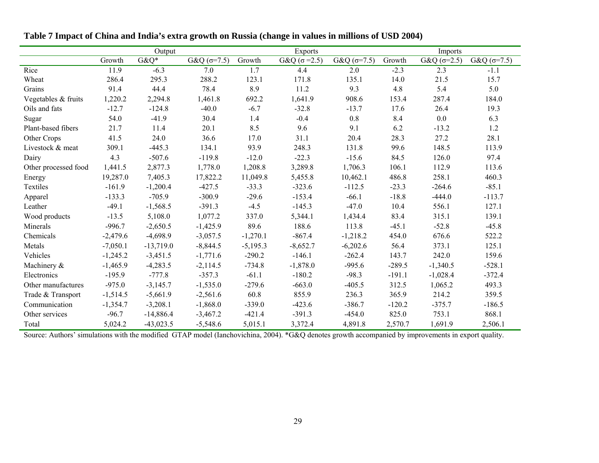|                      |            | Output      |                      |            | Exports              |                    | Imports  |              |                      |  |
|----------------------|------------|-------------|----------------------|------------|----------------------|--------------------|----------|--------------|----------------------|--|
|                      | Growth     | $G&Q^*$     | G&Q $(\sigma = 7.5)$ | Growth     | G&Q ( $\sigma$ =2.5) | $G&Q( \sigma=7.5)$ | Growth   | $G&Q(σ=2.5)$ | G&Q ( $\sigma$ =7.5) |  |
| Rice                 | 11.9       | $-6.3$      | 7.0                  | 1.7        | 4.4                  | 2.0                | $-2.3$   | 2.3          | $-1.1$               |  |
| Wheat                | 286.4      | 295.3       | 288.2                | 123.1      | 171.8                | 135.1              | 14.0     | 21.5         | 15.7                 |  |
| Grains               | 91.4       | 44.4        | 78.4                 | 8.9        | 11.2                 | 9.3                | 4.8      | 5.4          | 5.0                  |  |
| Vegetables & fruits  | 1,220.2    | 2,294.8     | 1,461.8              | 692.2      | 1,641.9              | 908.6              | 153.4    | 287.4        | 184.0                |  |
| Oils and fats        | $-12.7$    | $-124.8$    | $-40.0$              | $-6.7$     | $-32.8$              | $-13.7$            | 17.6     | 26.4         | 19.3                 |  |
| Sugar                | 54.0       | $-41.9$     | 30.4                 | 1.4        | $-0.4$               | 0.8                | 8.4      | 0.0          | 6.3                  |  |
| Plant-based fibers   | 21.7       | 11.4        | 20.1                 | 8.5        | 9.6                  | 9.1                | 6.2      | $-13.2$      | 1.2                  |  |
| Other Crops          | 41.5       | 24.0        | 36.6                 | 17.0       | 31.1                 | 20.4               | 28.3     | 27.2         | 28.1                 |  |
| Livestock & meat     | 309.1      | $-445.3$    | 134.1                | 93.9       | 248.3                | 131.8              | 99.6     | 148.5        | 113.9                |  |
| Dairy                | 4.3        | $-507.6$    | $-119.8$             | $-12.0$    | $-22.3$              | $-15.6$            | 84.5     | 126.0        | 97.4                 |  |
| Other processed food | 1,441.5    | 2,877.3     | 1,778.0              | 1,208.8    | 3,289.8              | 1,706.3            | 106.1    | 112.9        | 113.6                |  |
| Energy               | 19,287.0   | 7,405.3     | 17,822.2             | 11,049.8   | 5,455.8              | 10,462.1           | 486.8    | 258.1        | 460.3                |  |
| Textiles             | $-161.9$   | $-1,200.4$  | $-427.5$             | $-33.3$    | $-323.6$             | $-112.5$           | $-23.3$  | $-264.6$     | $-85.1$              |  |
| Apparel              | $-133.3$   | $-705.9$    | $-300.9$             | $-29.6$    | $-153.4$             | $-66.1$            | $-18.8$  | $-444.0$     | $-113.7$             |  |
| Leather              | $-49.1$    | $-1,568.5$  | $-391.3$             | $-4.5$     | $-145.3$             | $-47.0$            | 10.4     | 556.1        | 127.1                |  |
| Wood products        | $-13.5$    | 5,108.0     | 1,077.2              | 337.0      | 5,344.1              | 1,434.4            | 83.4     | 315.1        | 139.1                |  |
| Minerals             | $-996.7$   | $-2,650.5$  | $-1,425.9$           | 89.6       | 188.6                | 113.8              | $-45.1$  | $-52.8$      | $-45.8$              |  |
| Chemicals            | $-2,479.6$ | $-4,698.9$  | $-3,057.5$           | $-1,270.1$ | $-867.4$             | $-1,218.2$         | 454.0    | 676.6        | 522.2                |  |
| Metals               | $-7,050.1$ | $-13,719.0$ | $-8,844.5$           | $-5,195.3$ | $-8,652.7$           | $-6,202.6$         | 56.4     | 373.1        | 125.1                |  |
| Vehicles             | $-1,245.2$ | $-3,451.5$  | $-1,771.6$           | $-290.2$   | $-146.1$             | $-262.4$           | 143.7    | 242.0        | 159.6                |  |
| Machinery &          | $-1,465.9$ | $-4,283.5$  | $-2,114.5$           | $-734.8$   | $-1,878.0$           | $-995.6$           | $-289.5$ | $-1,340.5$   | $-528.1$             |  |
| Electronics          | $-195.9$   | $-777.8$    | $-357.3$             | $-61.1$    | $-180.2$             | $-98.3$            | $-191.1$ | $-1,028.4$   | $-372.4$             |  |
| Other manufactures   | $-975.0$   | $-3,145.7$  | $-1,535.0$           | $-279.6$   | $-663.0$             | $-405.5$           | 312.5    | 1,065.2      | 493.3                |  |
| Trade & Transport    | $-1,514.5$ | $-5,661.9$  | $-2,561.6$           | 60.8       | 855.9                | 236.3              | 365.9    | 214.2        | 359.5                |  |
| Communication        | $-1,354.7$ | $-3,208.1$  | $-1,868.0$           | $-339.0$   | $-423.6$             | $-386.7$           | $-120.2$ | $-375.7$     | $-186.5$             |  |
| Other services       | $-96.7$    | $-14,886.4$ | $-3,467.2$           | $-421.4$   | $-391.3$             | $-454.0$           | 825.0    | 753.1        | 868.1                |  |
| Total                | 5,024.2    | $-43,023.5$ | $-5,548.6$           | 5,015.1    | 3,372.4              | 4,891.8            | 2,570.7  | 1,691.9      | 2,506.1              |  |

**Table 7 Impact of China and India's extra growth on Russia (change in values in millions of USD 2004)** 

Source: Authors' simulations with the modified GTAP model (Ianchovichina, 2004). \*G&Q denotes growth accompanied by improvements in export quality.